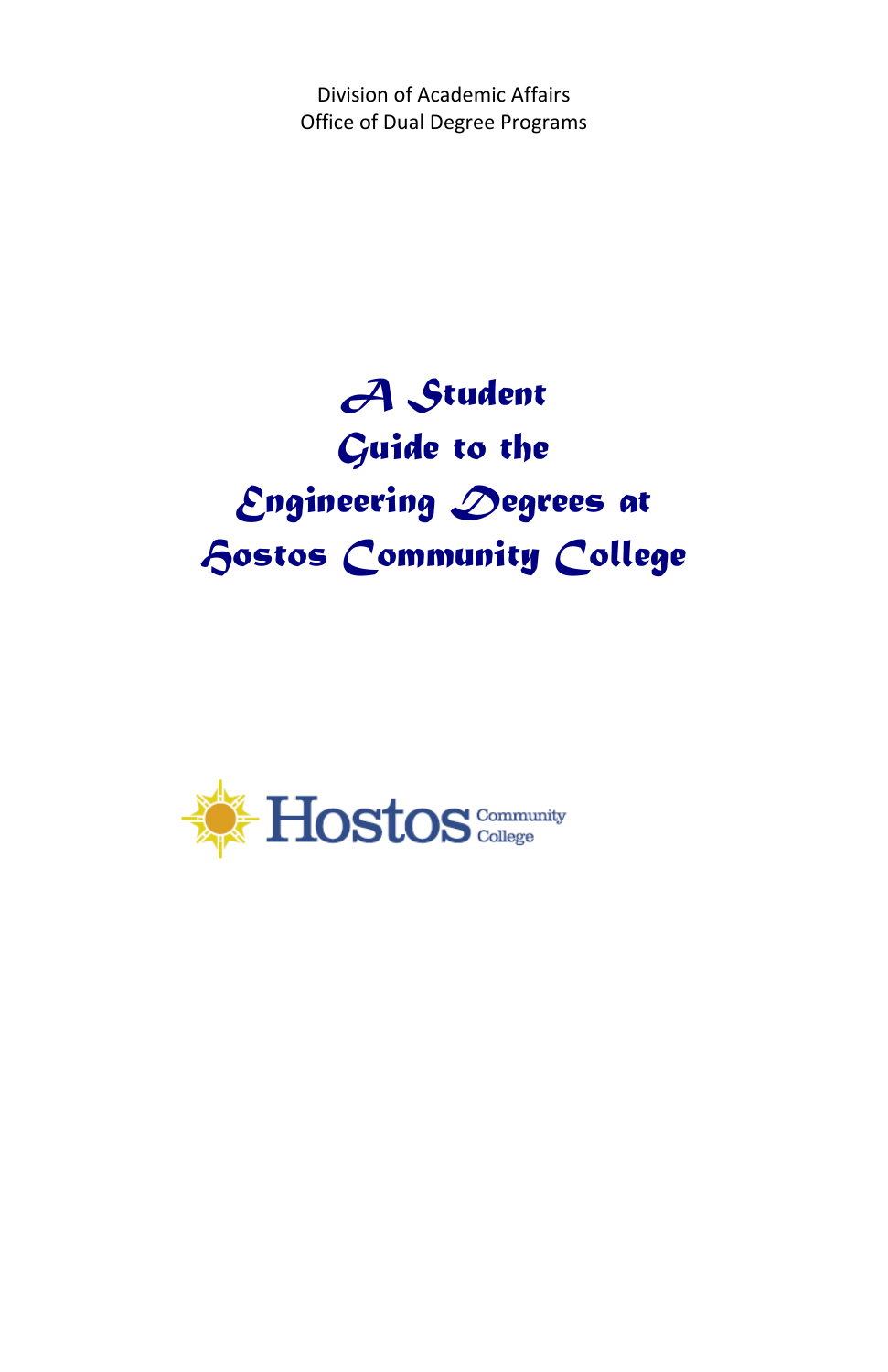Division of Academic Affairs Office of Dual Degree Programs

# *A Student Guide to the Engineering Degrees at Hostos Community College*

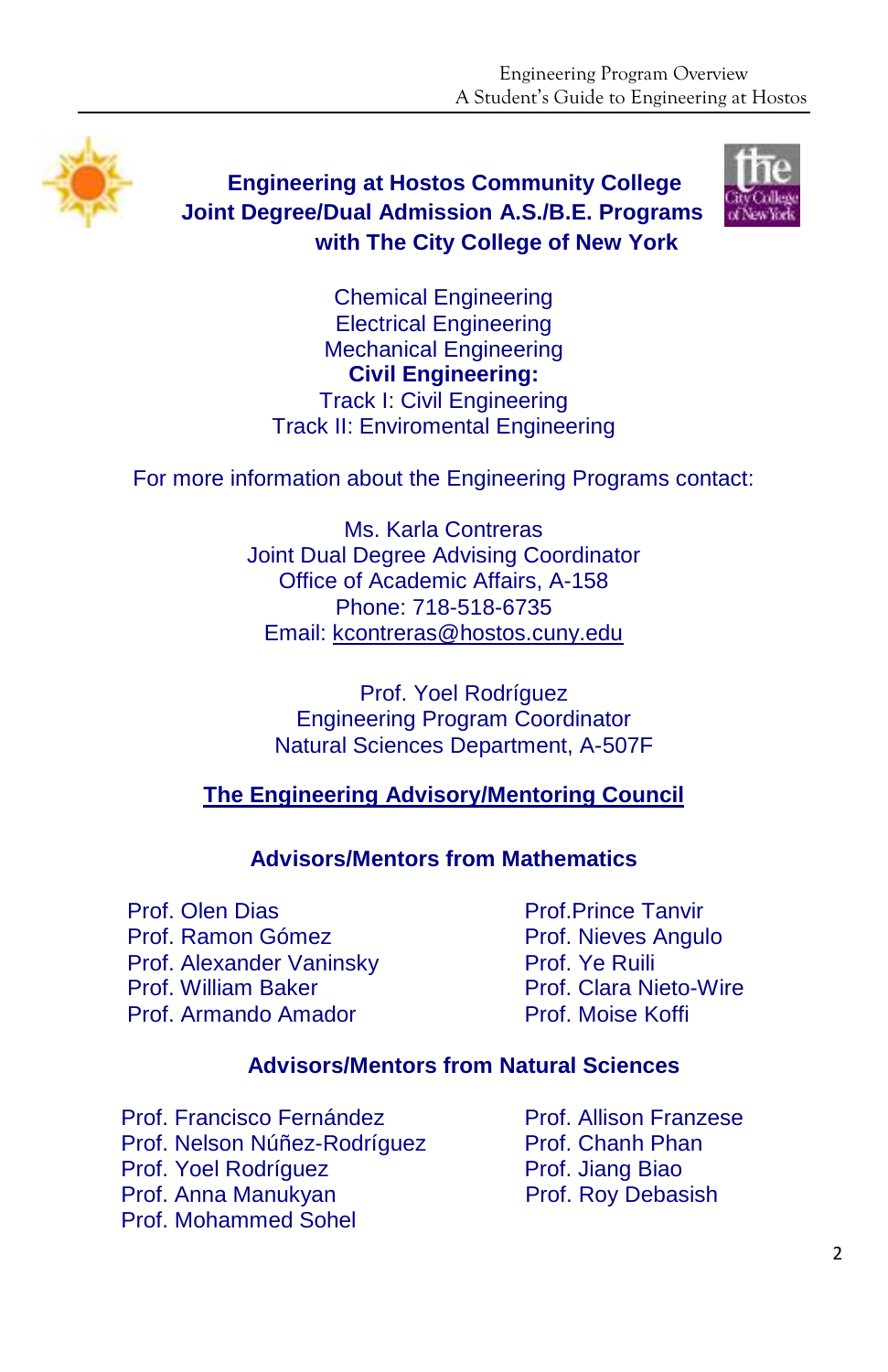

 **Engineering at Hostos Community College Joint Degree/Dual Admission A.S./B.E. Programs with The City College of New York** 



Chemical Engineering Electrical Engineering Mechanical Engineering **Civil Engineering:**  Track I: Civil Engineering Track II: Enviromental Engineering

For more information about the Engineering Programs contact:

Ms. Karla Contreras Joint Dual Degree Advising Coordinator Office of Academic Affairs, A-158 Phone: 718-518-6735 Email: [kcontreras@hostos.cuny.edu](mailto:kcontreras@hostos.cuny.edu)

Prof. Yoel Rodríguez Engineering Program Coordinator Natural Sciences Department, A-507F

**The Engineering Advisory/Mentoring Council**

#### **Advisors/Mentors from Mathematics**

Prof. Olen Dias Prof. Ramon Gómez Prof. Alexander Vaninsky Prof. William Baker Prof. Armando Amador

Prof.Prince Tanvir Prof. Nieves Angulo Prof. Ye Ruili Prof. Clara Nieto-Wire Prof. Moise Koffi

#### **Advisors/Mentors from Natural Sciences**

Prof. Francisco Fernández Prof. Nelson Núñez-Rodríguez Prof. Yoel Rodríguez Prof. Anna Manukyan Prof. Mohammed Sohel

Prof. Allison Franzese Prof. Chanh Phan Prof. Jiang Biao Prof. Roy Debasish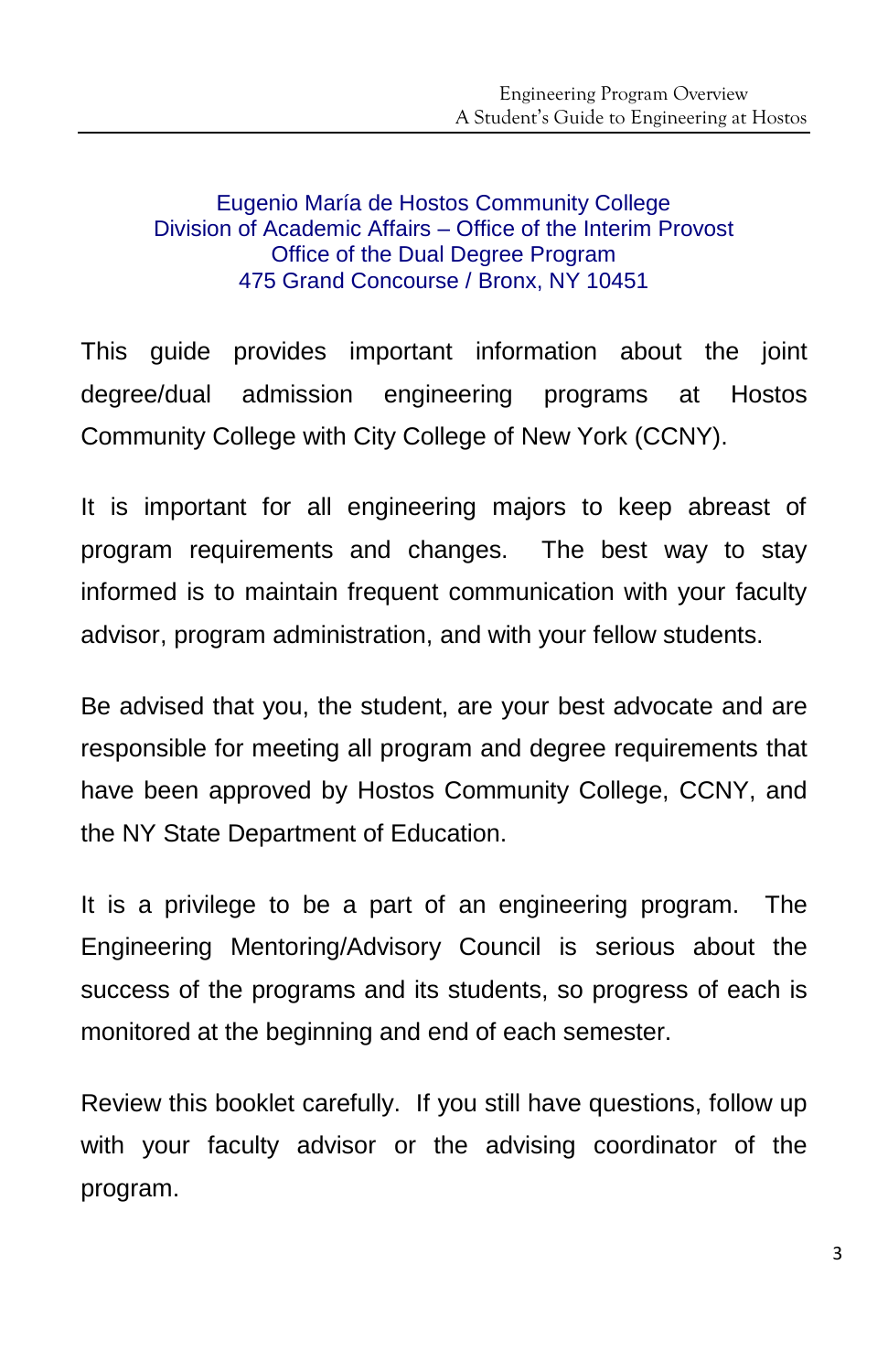#### Eugenio María de Hostos Community College Division of Academic Affairs – Office of the Interim Provost Office of the Dual Degree Program 475 Grand Concourse / Bronx, NY 10451

This guide provides important information about the joint degree/dual admission engineering programs at Hostos Community College with City College of New York (CCNY).

It is important for all engineering majors to keep abreast of program requirements and changes. The best way to stay informed is to maintain frequent communication with your faculty advisor, program administration, and with your fellow students.

Be advised that you, the student, are your best advocate and are responsible for meeting all program and degree requirements that have been approved by Hostos Community College, CCNY, and the NY State Department of Education.

It is a privilege to be a part of an engineering program. The Engineering Mentoring/Advisory Council is serious about the success of the programs and its students, so progress of each is monitored at the beginning and end of each semester.

Review this booklet carefully. If you still have questions, follow up with your faculty advisor or the advising coordinator of the program.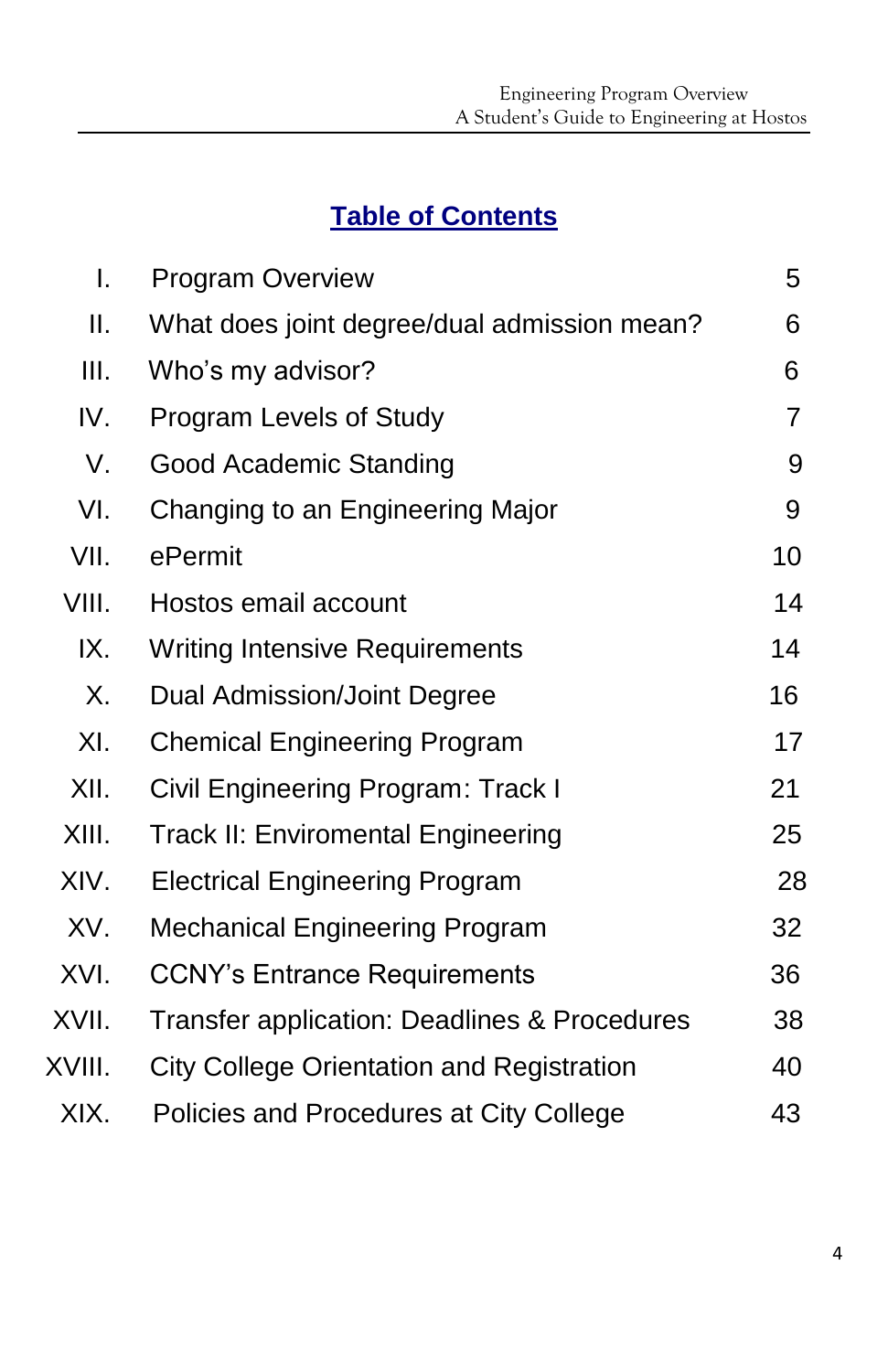# **Table of Contents**

| $\mathsf{I}$ . | <b>Program Overview</b>                          | 5  |
|----------------|--------------------------------------------------|----|
| Ⅱ.             | What does joint degree/dual admission mean?      | 6  |
| Ш.             | Who's my advisor?                                | 6  |
| IV.            | Program Levels of Study                          | 7  |
| V.             | Good Academic Standing                           | 9  |
| VI.            | Changing to an Engineering Major                 | 9  |
| VII.           | ePermit                                          | 10 |
| VIII.          | Hostos email account                             | 14 |
| IX.            | <b>Writing Intensive Requirements</b>            | 14 |
| Χ.             | Dual Admission/Joint Degree                      | 16 |
| XI.            | <b>Chemical Engineering Program</b>              | 17 |
| XII.           | Civil Engineering Program: Track I               | 21 |
| XIII.          | <b>Track II: Enviromental Engineering</b>        | 25 |
| XIV.           | <b>Electrical Engineering Program</b>            | 28 |
| XV.            | <b>Mechanical Engineering Program</b>            | 32 |
| XVI.           | <b>CCNY's Entrance Requirements</b>              | 36 |
| XVII.          | Transfer application: Deadlines & Procedures     | 38 |
| XVIII.         | <b>City College Orientation and Registration</b> | 40 |
| XIX.           | Policies and Procedures at City College          | 43 |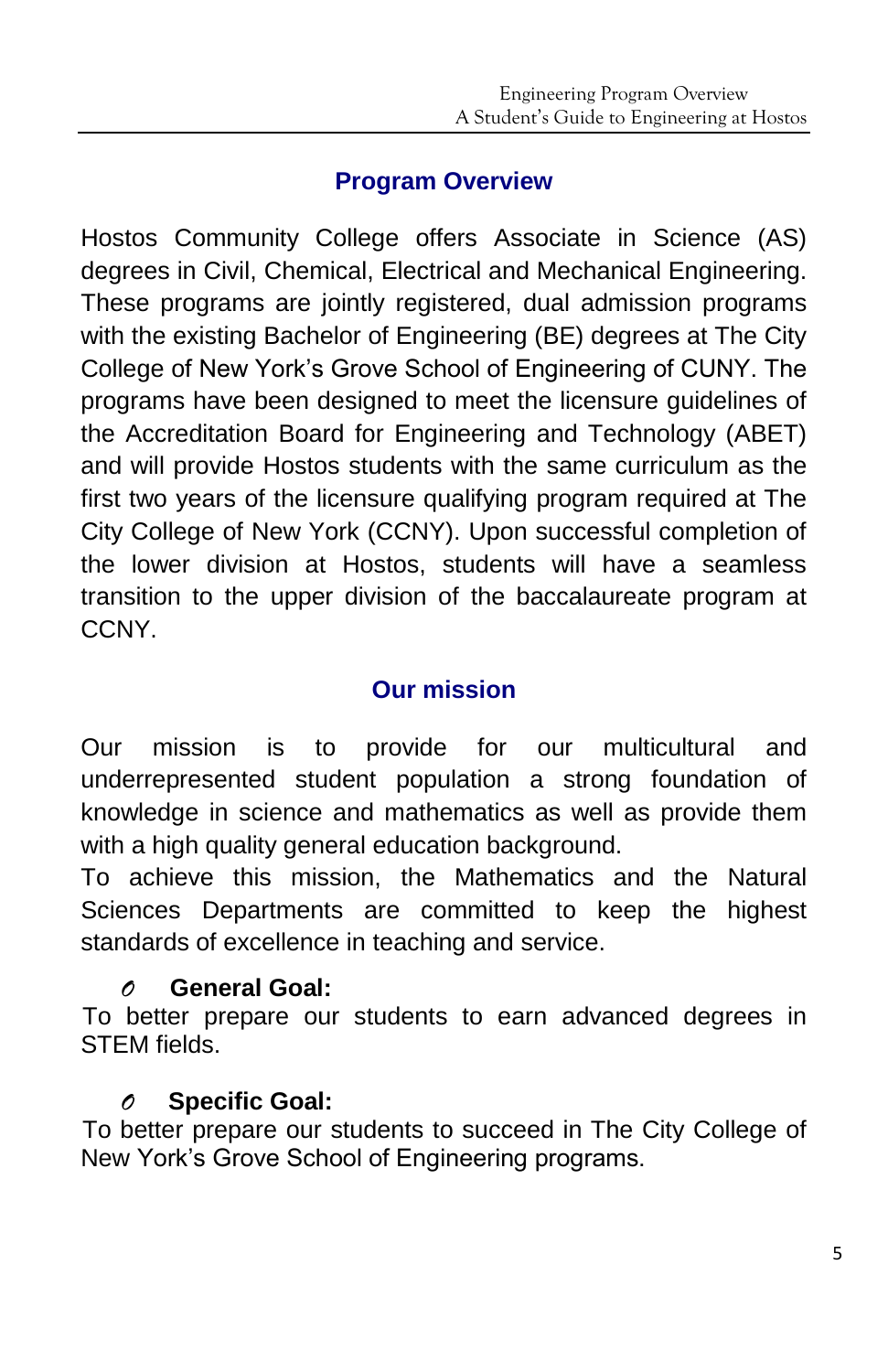# **Program Overview**

Hostos Community College offers Associate in Science (AS) degrees in Civil, Chemical, Electrical and Mechanical Engineering. These programs are jointly registered, dual admission programs with the existing Bachelor of Engineering (BE) degrees at The City College of New York's Grove School of Engineering of CUNY. The programs have been designed to meet the licensure guidelines of the Accreditation Board for Engineering and Technology (ABET) and will provide Hostos students with the same curriculum as the first two years of the licensure qualifying program required at The City College of New York (CCNY). Upon successful completion of the lower division at Hostos, students will have a seamless transition to the upper division of the baccalaureate program at CCNY.

# **Our mission**

Our mission is to provide for our multicultural and underrepresented student population a strong foundation of knowledge in science and mathematics as well as provide them with a high quality general education background.

To achieve this mission, the Mathematics and the Natural Sciences Departments are committed to keep the highest standards of excellence in teaching and service.

# *O* **General Goal:**

To better prepare our students to earn advanced degrees in STEM fields.

# *O* **Specific Goal:**

To better prepare our students to succeed in The City College of New York's Grove School of Engineering programs.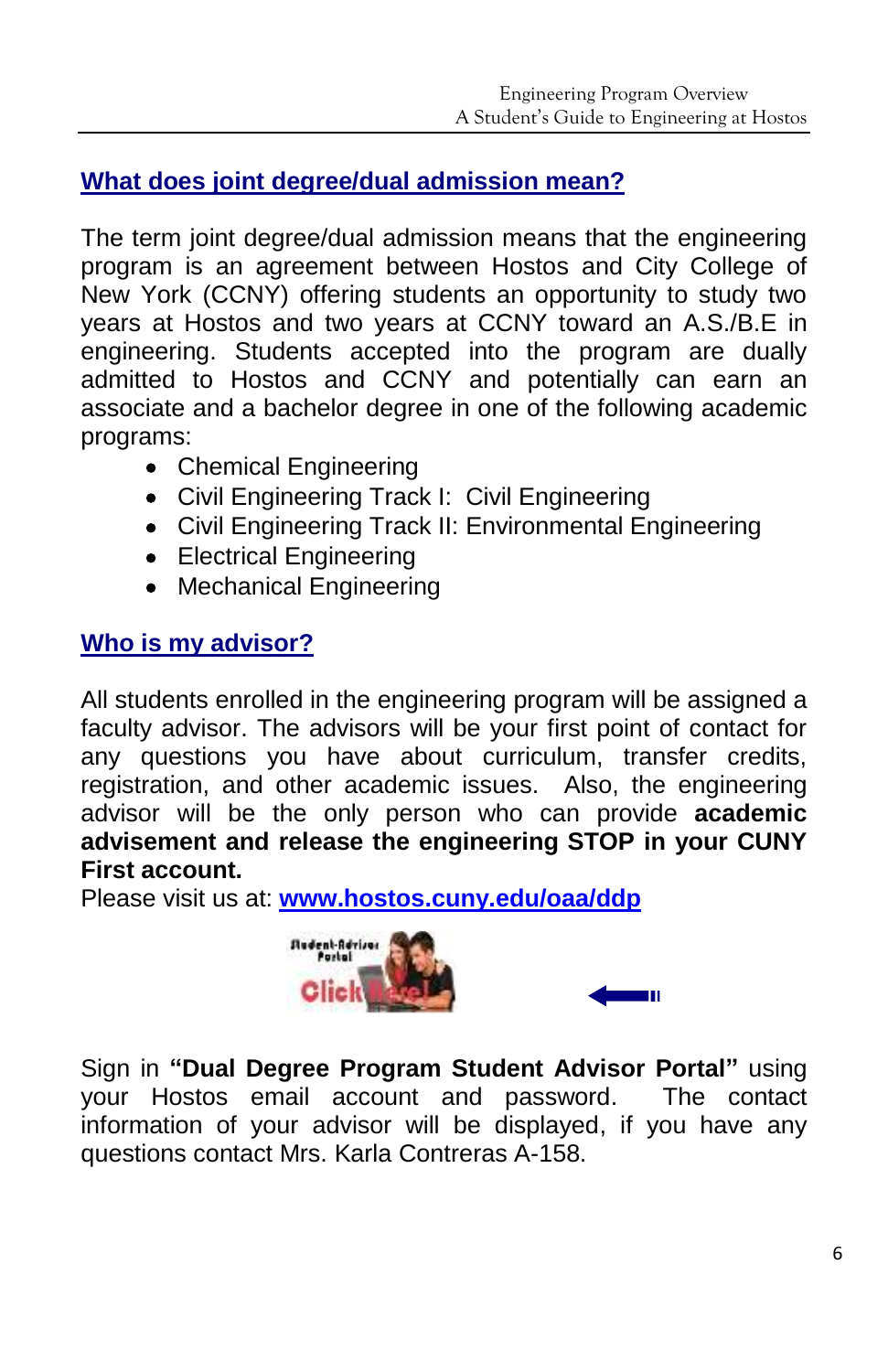### **What does joint degree/dual admission mean?**

The term joint degree/dual admission means that the engineering program is an agreement between Hostos and City College of New York (CCNY) offering students an opportunity to study two years at Hostos and two years at CCNY toward an A.S./B.E in engineering. Students accepted into the program are dually admitted to Hostos and CCNY and potentially can earn an associate and a bachelor degree in one of the following academic programs:

- Chemical Engineering
- Civil Engineering Track I: Civil Engineering
- Civil Engineering Track II: Environmental Engineering
- Electrical Engineering
- Mechanical Engineering

#### **Who is my advisor?**

All students enrolled in the engineering program will be assigned a faculty advisor. The advisors will be your first point of contact for any questions you have about curriculum, transfer credits, registration, and other academic issues. Also, the engineering advisor will be the only person who can provide **academic advisement and release the engineering STOP in your CUNY First account.**

Please visit us at: **[www.hostos.cuny.edu/oaa/ddp](http://www.hostos.cuny.edu/oaa/ddp)**



Sign in **"Dual Degree Program Student Advisor Portal"** using your Hostos email account and password.The contact information of your advisor will be displayed, if you have any questions contact Mrs. Karla Contreras A-158.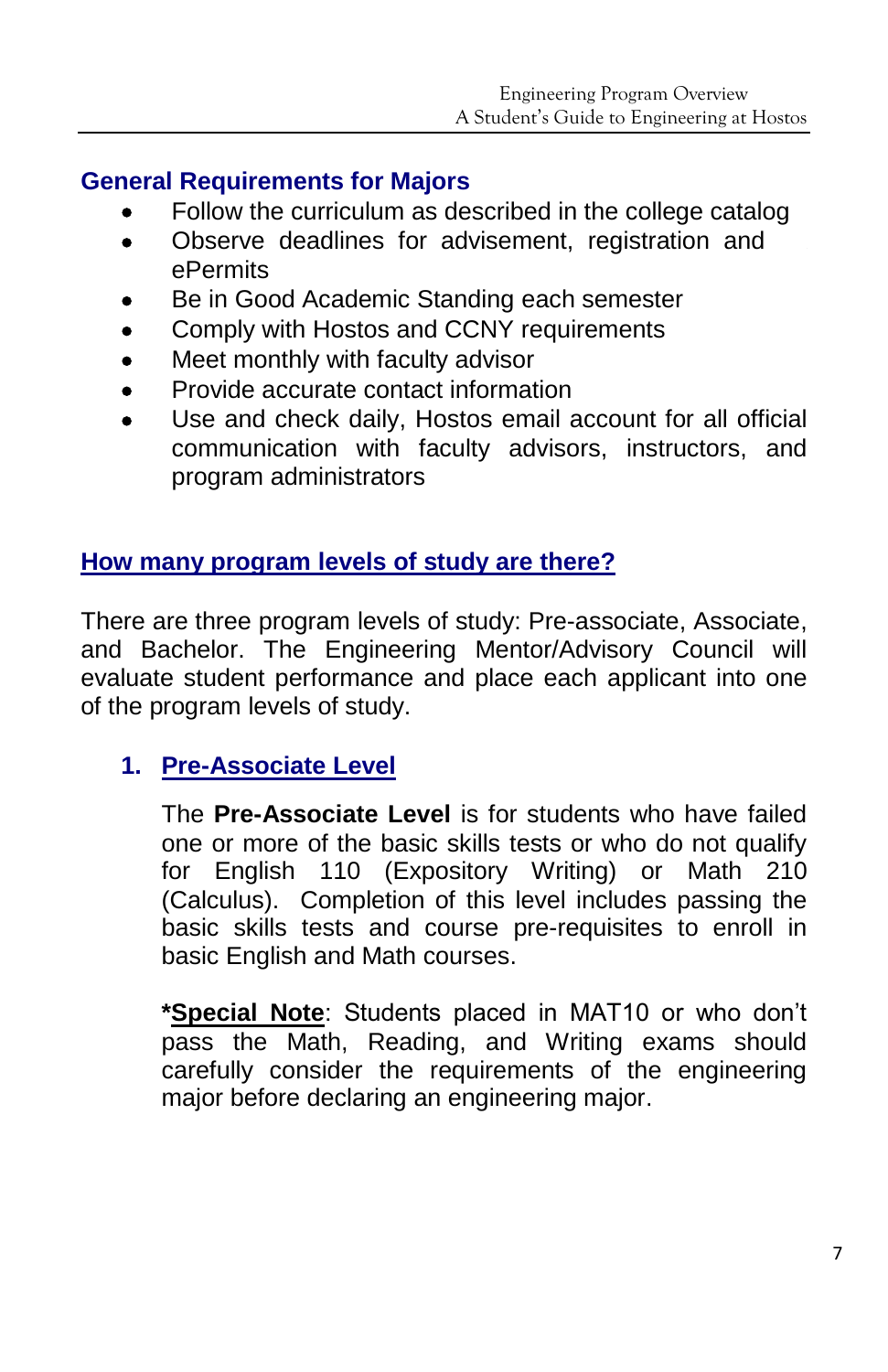#### **General Requirements for Majors**

- Follow the curriculum as described in the college catalog
- Observe deadlines for advisement, registration and . ePermits
- Be in Good Academic Standing each semester
- Comply with Hostos and CCNY requirements
- Meet monthly with faculty advisor
- Provide accurate contact information
- Use and check daily, Hostos email account for all official communication with faculty advisors, instructors, and program administrators

# **How many program levels of study are there?**

There are three program levels of study: Pre-associate, Associate, and Bachelor. The Engineering Mentor/Advisory Council will evaluate student performance and place each applicant into one of the program levels of study.

# **1. Pre-Associate Level**

The **Pre-Associate Level** is for students who have failed one or more of the basic skills tests or who do not qualify for English 110 (Expository Writing) or Math 210 (Calculus). Completion of this level includes passing the basic skills tests and course pre-requisites to enroll in basic English and Math courses.

**\*Special Note**: Students placed in MAT10 or who don't pass the Math, Reading, and Writing exams should carefully consider the requirements of the engineering major before declaring an engineering major.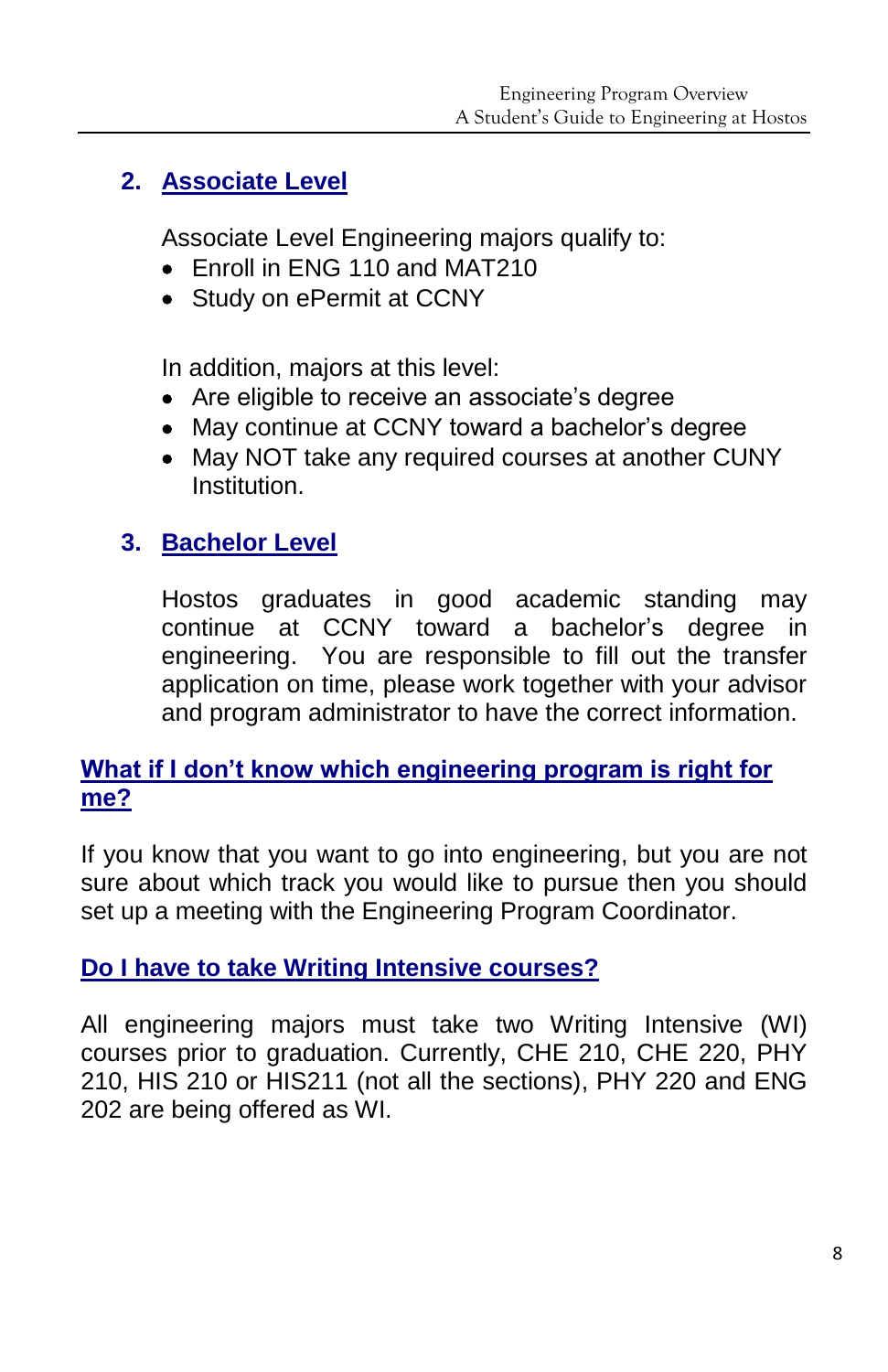# **2. Associate Level**

Associate Level Engineering majors qualify to:

- Fnroll in FNG 110 and MAT210
- Study on ePermit at CCNY

In addition, majors at this level:

- Are eligible to receive an associate's degree
- May continue at CCNY toward a bachelor's degree
- May NOT take any required courses at another CUNY Institution.

# **3. Bachelor Level**

Hostos graduates in good academic standing may continue at CCNY toward a bachelor's degree in engineering. You are responsible to fill out the transfer application on time, please work together with your advisor and program administrator to have the correct information.

# **What if I don't know which engineering program is right for me?**

If you know that you want to go into engineering, but you are not sure about which track you would like to pursue then you should set up a meeting with the Engineering Program Coordinator.

# **Do I have to take Writing Intensive courses?**

All engineering majors must take two Writing Intensive (WI) courses prior to graduation. Currently, CHE 210, CHE 220, PHY 210, HIS 210 or HIS211 (not all the sections), PHY 220 and ENG 202 are being offered as WI.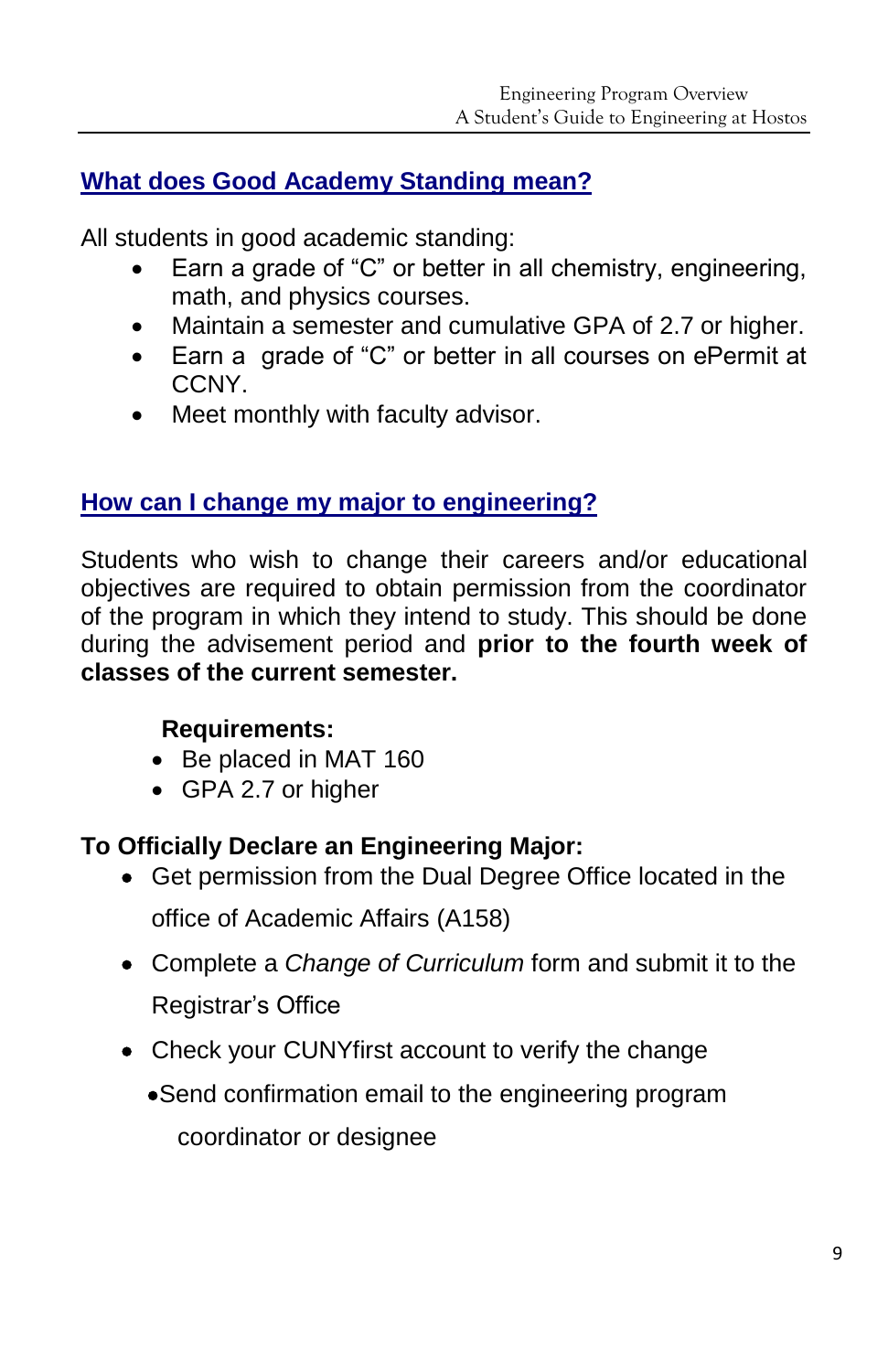# **What does Good Academy Standing mean?**

All students in good academic standing:

- Earn a grade of "C" or better in all chemistry, engineering, math, and physics courses.
- Maintain a semester and cumulative GPA of 2.7 or higher.
- Earn a grade of "C" or better in all courses on ePermit at CCNY.
- Meet monthly with faculty advisor.

# **How can I change my major to engineering?**

Students who wish to change their careers and/or educational objectives are required to obtain permission from the coordinator of the program in which they intend to study. This should be done during the advisement period and **prior to the fourth week of classes of the current semester.**

#### **Requirements:**

- Be placed in MAT 160
- GPA 2.7 or higher

# **To Officially Declare an Engineering Major:**

- Get permission from the Dual Degree Office located in the office of Academic Affairs (A158)
- Complete a *Change of Curriculum* form and submit it to the Registrar's Office
- Check your CUNYfirst account to verify the change
	- Send confirmation email to the engineering program coordinator or designee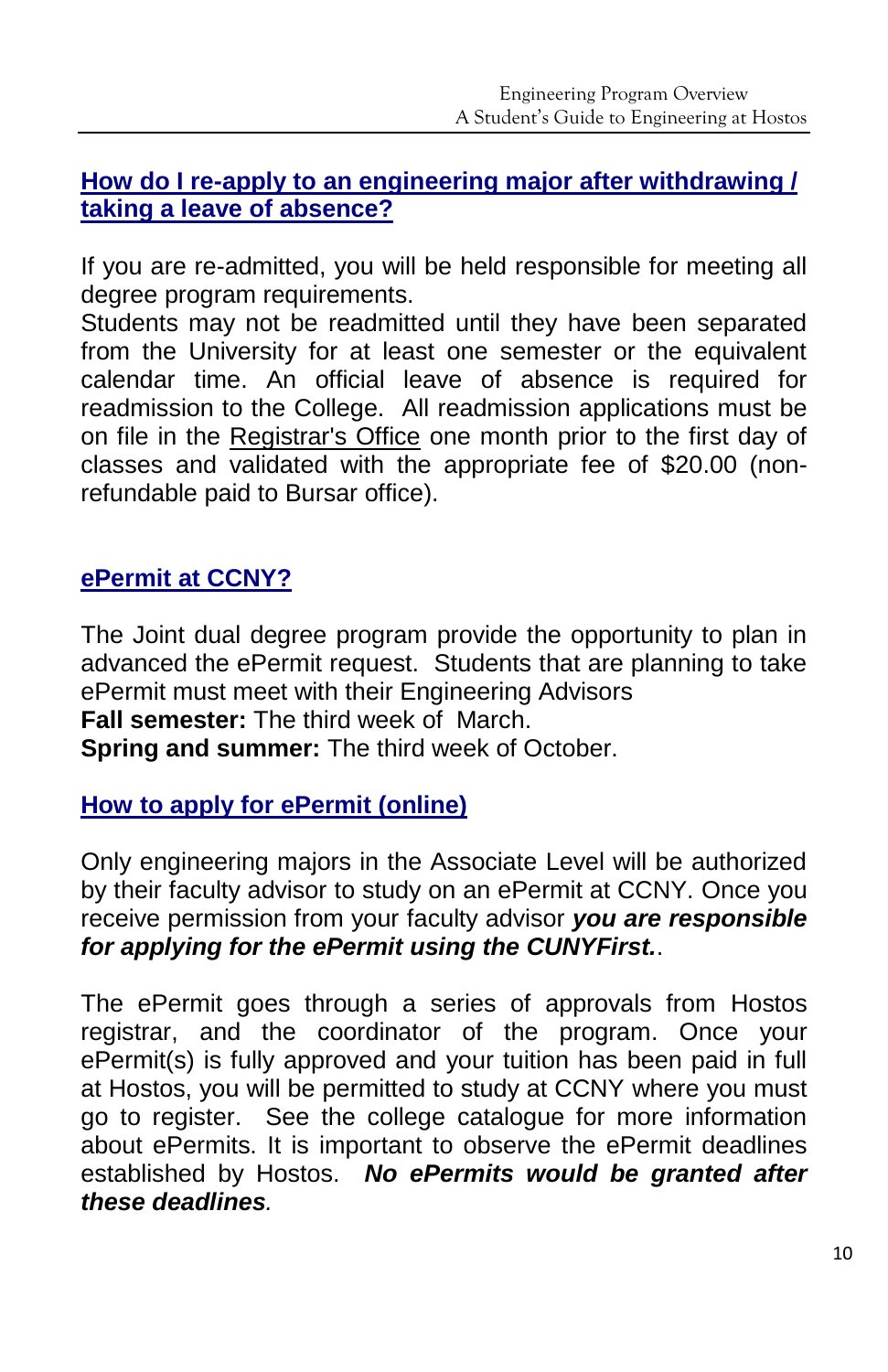#### **How do I re-apply to an engineering major after withdrawing / taking a leave of absence?**

If you are re-admitted, you will be held responsible for meeting all degree program requirements.

Students may not be readmitted until they have been separated from the University for at least one semester or the equivalent calendar time. An official leave of absence is required for readmission to the College. All readmission applications must be on file in the [Registrar's Office](http://www.hostos.cuny.edu/oor) one month prior to the first day of classes and validated with the appropriate fee of \$20.00 (nonrefundable paid to Bursar office).

# **ePermit at CCNY?**

The Joint dual degree program provide the opportunity to plan in advanced the ePermit request. Students that are planning to take ePermit must meet with their Engineering Advisors **Fall semester:** The third week of March. **Spring and summer:** The third week of October.

# **How to apply for ePermit (online)**

Only engineering majors in the Associate Level will be authorized by their faculty advisor to study on an ePermit at CCNY. Once you receive permission from your faculty advisor *you are responsible for applying for the ePermit using the CUNYFirst.*.

The ePermit goes through a series of approvals from Hostos registrar, and the coordinator of the program. Once your ePermit(s) is fully approved and your tuition has been paid in full at Hostos, you will be permitted to study at CCNY where you must go to register. See the college catalogue for more information about ePermits. It is important to observe the ePermit deadlines established by Hostos. *No ePermits would be granted after these deadlines.*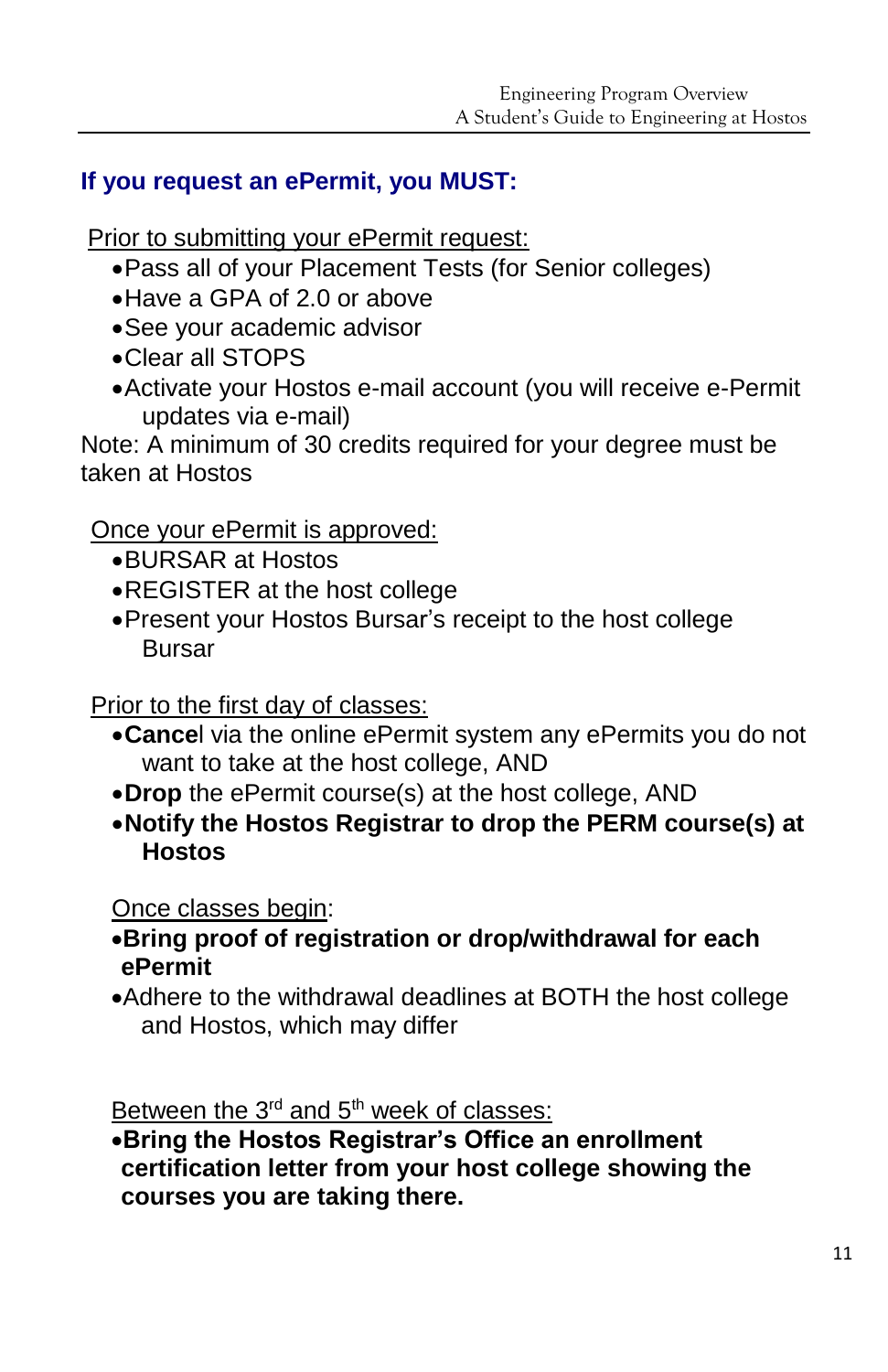# **If you request an ePermit, you MUST:**

Prior to submitting your ePermit request:

- Pass all of your Placement Tests (for Senior colleges)
- Have a GPA of 2.0 or above
- See your academic advisor
- Clear all STOPS
- Activate your Hostos e-mail account (you will receive e-Permit updates via e-mail)

Note: A minimum of 30 credits required for your degree must be taken at Hostos

# Once your ePermit is approved:

- BURSAR at Hostos
- REGISTER at the host college
- Present your Hostos Bursar's receipt to the host college Bursar

Prior to the first day of classes:

- **Cance**l via the online ePermit system any ePermits you do not want to take at the host college, AND
- **Drop** the ePermit course(s) at the host college, AND
- **Notify the Hostos Registrar to drop the PERM course(s) at Hostos**

Once classes begin:

- **Bring proof of registration or drop/withdrawal for each ePermit**
- Adhere to the withdrawal deadlines at BOTH the host college and Hostos, which may differ

Between the  $3<sup>rd</sup>$  and  $5<sup>th</sup>$  week of classes:

**Bring the Hostos Registrar's Office an enrollment certification letter from your host college showing the courses you are taking there.**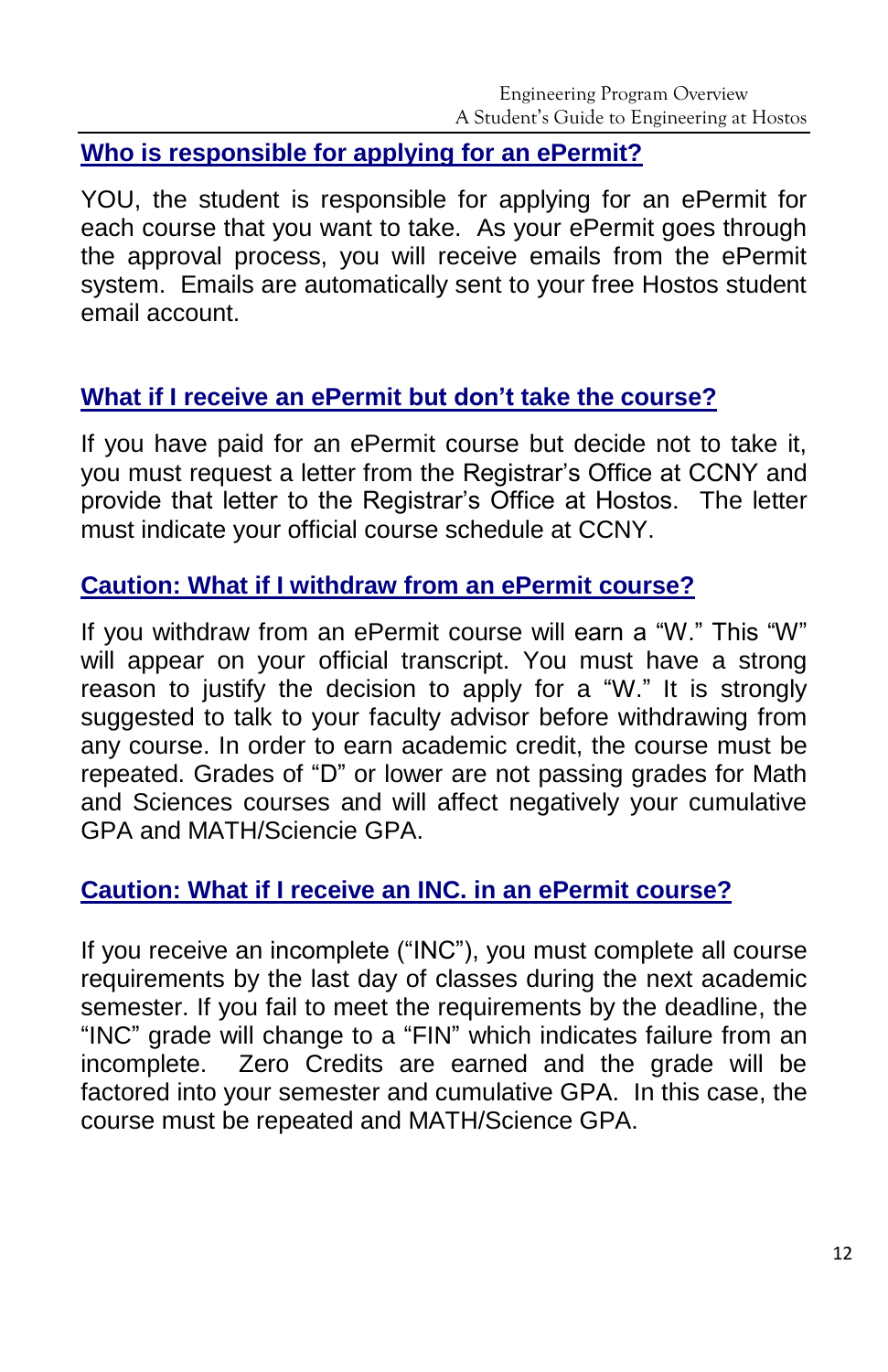#### **Who is responsible for applying for an ePermit?**

YOU, the student is responsible for applying for an ePermit for each course that you want to take. As your ePermit goes through the approval process, you will receive emails from the ePermit system. Emails are automatically sent to your free Hostos student email account.

# **What if I receive an ePermit but don't take the course?**

If you have paid for an ePermit course but decide not to take it, you must request a letter from the Registrar's Office at CCNY and provide that letter to the Registrar's Office at Hostos. The letter must indicate your official course schedule at CCNY.

#### **Caution: What if I withdraw from an ePermit course?**

If you withdraw from an ePermit course will earn a "W." This "W" will appear on your official transcript. You must have a strong reason to justify the decision to apply for a "W." It is strongly suggested to talk to your faculty advisor before withdrawing from any course. In order to earn academic credit, the course must be repeated. Grades of "D" or lower are not passing grades for Math and Sciences courses and will affect negatively your cumulative GPA and MATH/Sciencie GPA.

# **Caution: What if I receive an INC. in an ePermit course?**

If you receive an incomplete ("INC"), you must complete all course requirements by the last day of classes during the next academic semester. If you fail to meet the requirements by the deadline, the "INC" grade will change to a "FIN" which indicates failure from an incomplete. Zero Credits are earned and the grade will be factored into your semester and cumulative GPA. In this case, the course must be repeated and MATH/Science GPA.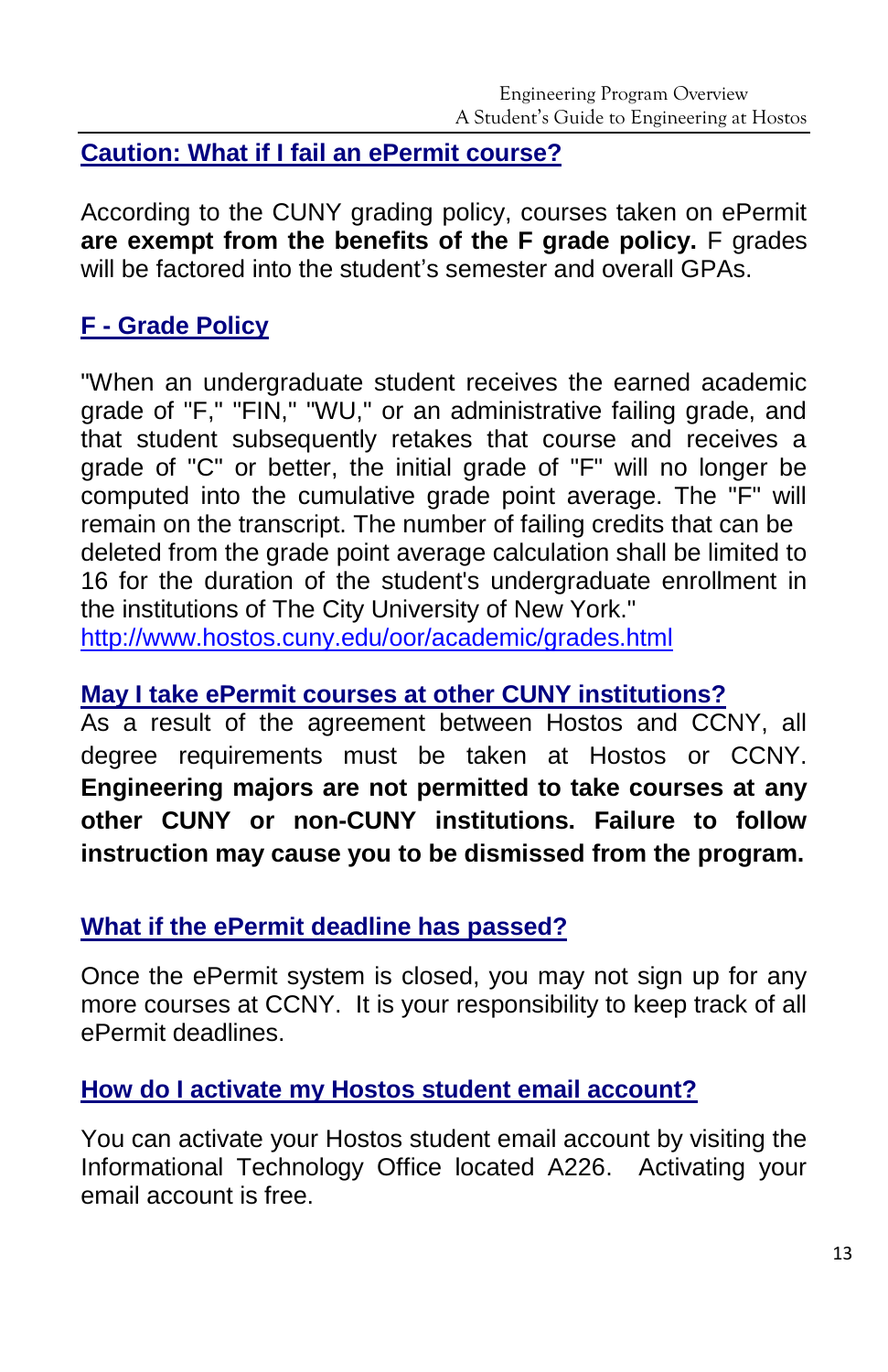#### **Caution: What if I fail an ePermit course?**

According to the CUNY grading policy, courses taken on ePermit **are exempt from the benefits of the F grade policy.** F grades will be factored into the student's semester and overall GPAs.

# **F - Grade Policy**

"When an undergraduate student receives the earned academic grade of "F," "FIN," "WU," or an administrative failing grade, and that student subsequently retakes that course and receives a grade of "C" or better, the initial grade of "F" will no longer be computed into the cumulative grade point average. The "F" will remain on the transcript. The number of failing credits that can be deleted from the grade point average calculation shall be limited to 16 for the duration of the student's undergraduate enrollment in the institutions of The City University of New York." <http://www.hostos.cuny.edu/oor/academic/grades.html>

#### **May I take ePermit courses at other CUNY institutions?**

As a result of the agreement between Hostos and CCNY, all degree requirements must be taken at Hostos or CCNY. **Engineering majors are not permitted to take courses at any other CUNY or non-CUNY institutions. Failure to follow instruction may cause you to be dismissed from the program.**

#### **What if the ePermit deadline has passed?**

Once the ePermit system is closed, you may not sign up for any more courses at CCNY. It is your responsibility to keep track of all ePermit deadlines.

#### **How do I activate my Hostos student email account?**

You can activate your Hostos student email account by visiting the Informational Technology Office located A226. Activating your email account is free.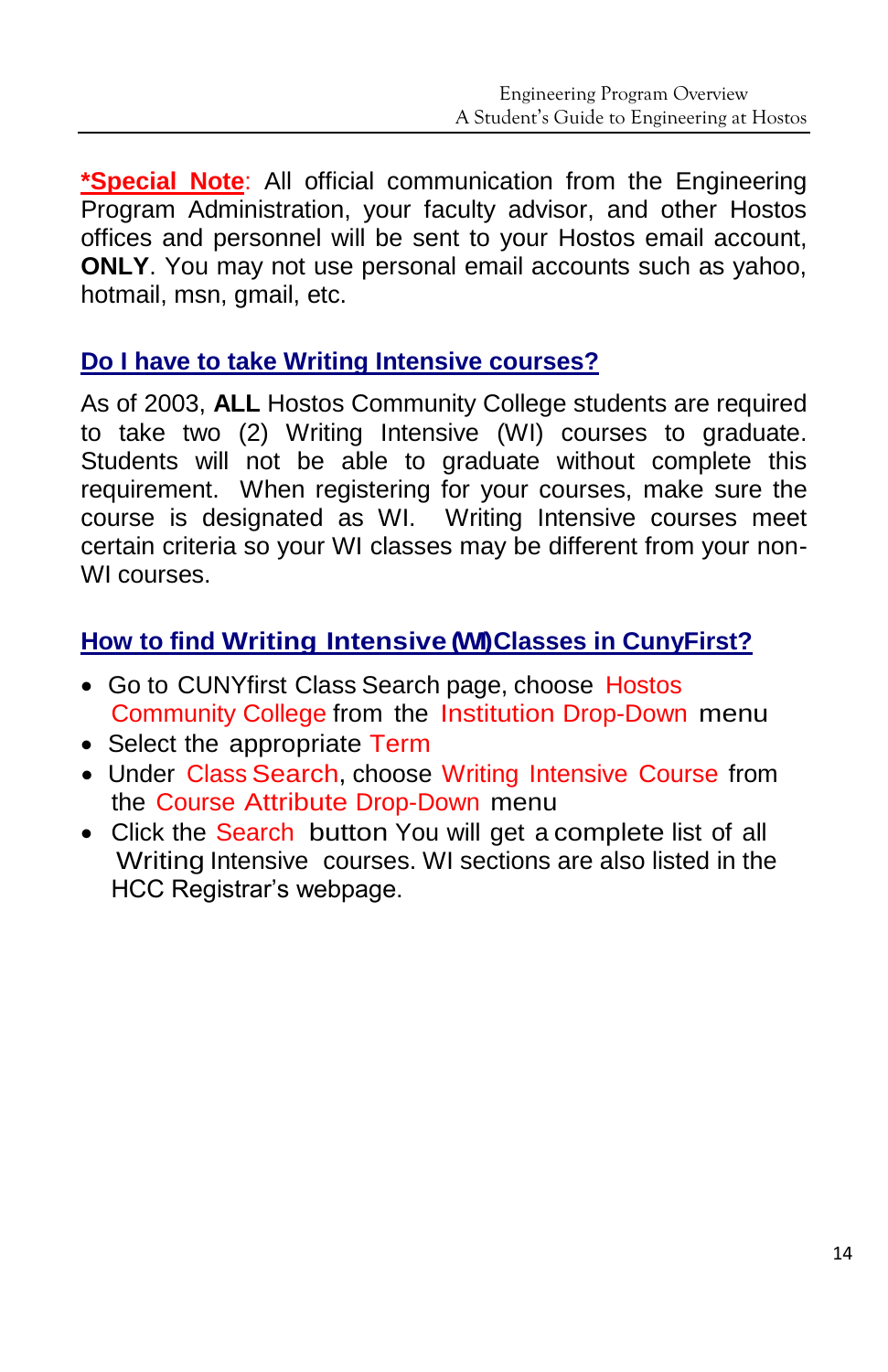**\*Special Note**: All official communication from the Engineering Program Administration, your faculty advisor, and other Hostos offices and personnel will be sent to your Hostos email account, **ONLY**. You may not use personal email accounts such as yahoo, hotmail, msn. gmail, etc.

#### **Do I have to take Writing Intensive courses?**

As of 2003, **ALL** Hostos Community College students are required to take two (2) Writing Intensive (WI) courses to graduate. Students will not be able to graduate without complete this requirement. When registering for your courses, make sure the course is designated as WI. Writing Intensive courses meet certain criteria so your WI classes may be different from your non-WI courses.

# **How to find Writing Intensive (WI) Classes in CunyFirst?**

- Go to CUNYfirst Class Search page, choose Hostos Community College from the Institution Drop-Down menu
- Select the appropriate Term
- Under Class Search, choose Writing Intensive Course from the Course Attribute Drop-Down menu
- Click the Search button You will get a complete list of all Writing Intensive courses. WI sections are also listed in the HCC Registrar's webpage.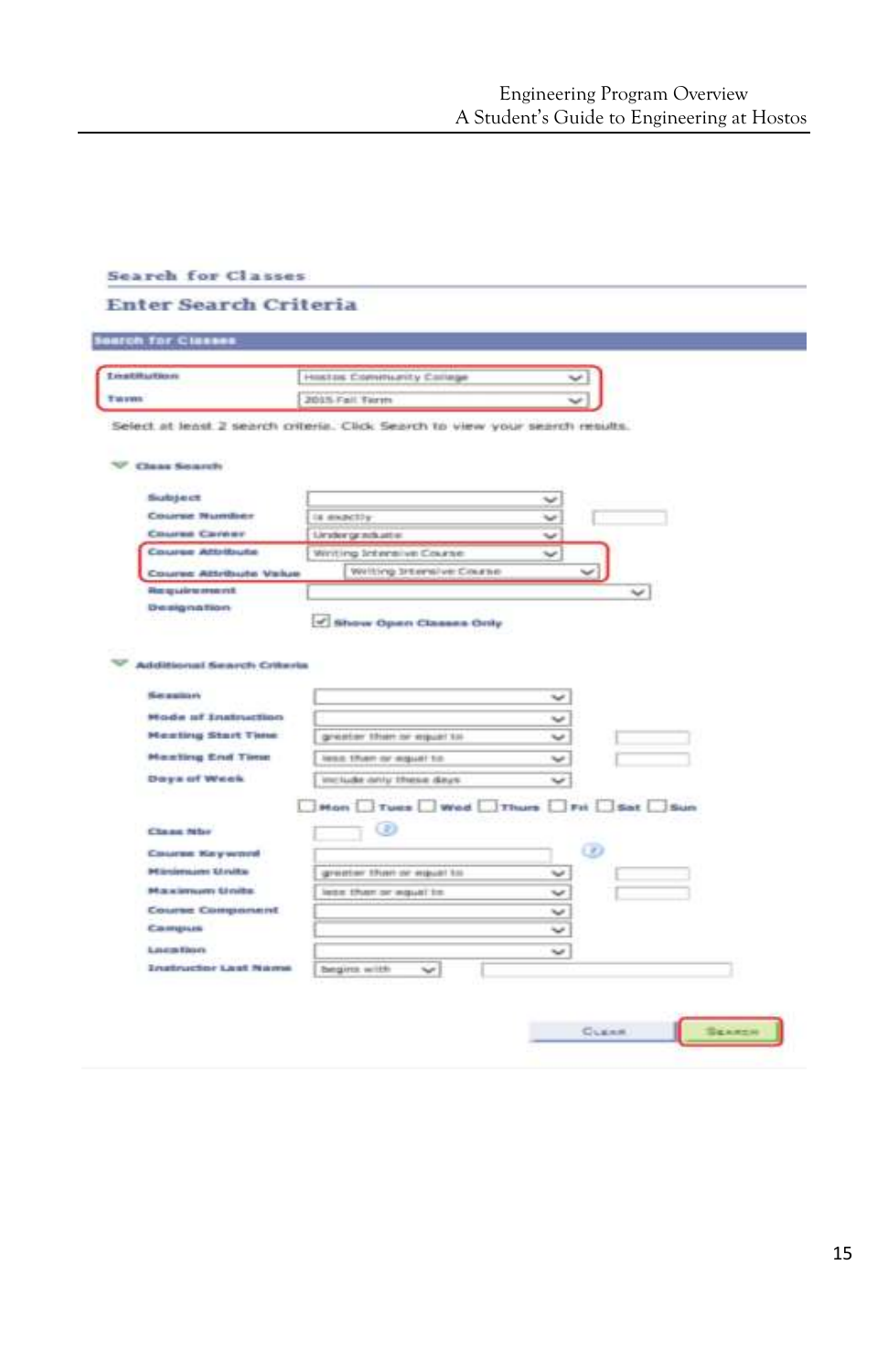| <b>Sourch for Clusses</b>                             |                                                                              |
|-------------------------------------------------------|------------------------------------------------------------------------------|
| <b>Linktitudion</b>                                   | Hostas Committerity College                                                  |
|                                                       | 2015 Fall Term                                                               |
| <b>Clear Sounty</b>                                   | Select at least 2 search criteria. Click Search to view your search results. |
| <b>Subject</b>                                        |                                                                              |
| Course Number                                         | u<br>Is exactly                                                              |
| Course Carrier                                        | Limiter graviture<br>$\checkmark$                                            |
| <b>Course Attribute</b>                               | Winting Intensive Course<br>$\overline{\phantom{a}}$                         |
| Course Attribute Value                                | Writing Intensive Course                                                     |
| Plus apude to reno in t.                              | مما                                                                          |
|                                                       |                                                                              |
| Dreakging trion-<br><b>Additional Search Criteria</b> | of Show Open Classes Only                                                    |
| <b>Secretary</b><br><b>Mode of Instruction</b>        | ب                                                                            |
| <b>Meating Start Time</b>                             | v<br>greater then or imput! to                                               |
| <b>Maxiling End Time</b>                              | less 17ven or equal to<br>$\check{\phantom{a}}$                              |
|                                                       | include only these days<br>$\tilde{\phantom{a}}$                             |
| Days of Week.                                         | Hon Tues Wed Thurs Tri Sat Sun                                               |
| <b>Chang Miles</b>                                    | Đ                                                                            |
| Course Keywood                                        | $\omega$                                                                     |
| <b>PEGniensum Glovita</b>                             | greater than or equal to<br>w                                                |
| Maximum Units                                         | lette than or equal to<br>u                                                  |
| Course Component                                      | v                                                                            |
| Campus                                                |                                                                              |
| Louis Don<br><b>Instructor Last Name</b>              | $\tilde{\phantom{a}}$                                                        |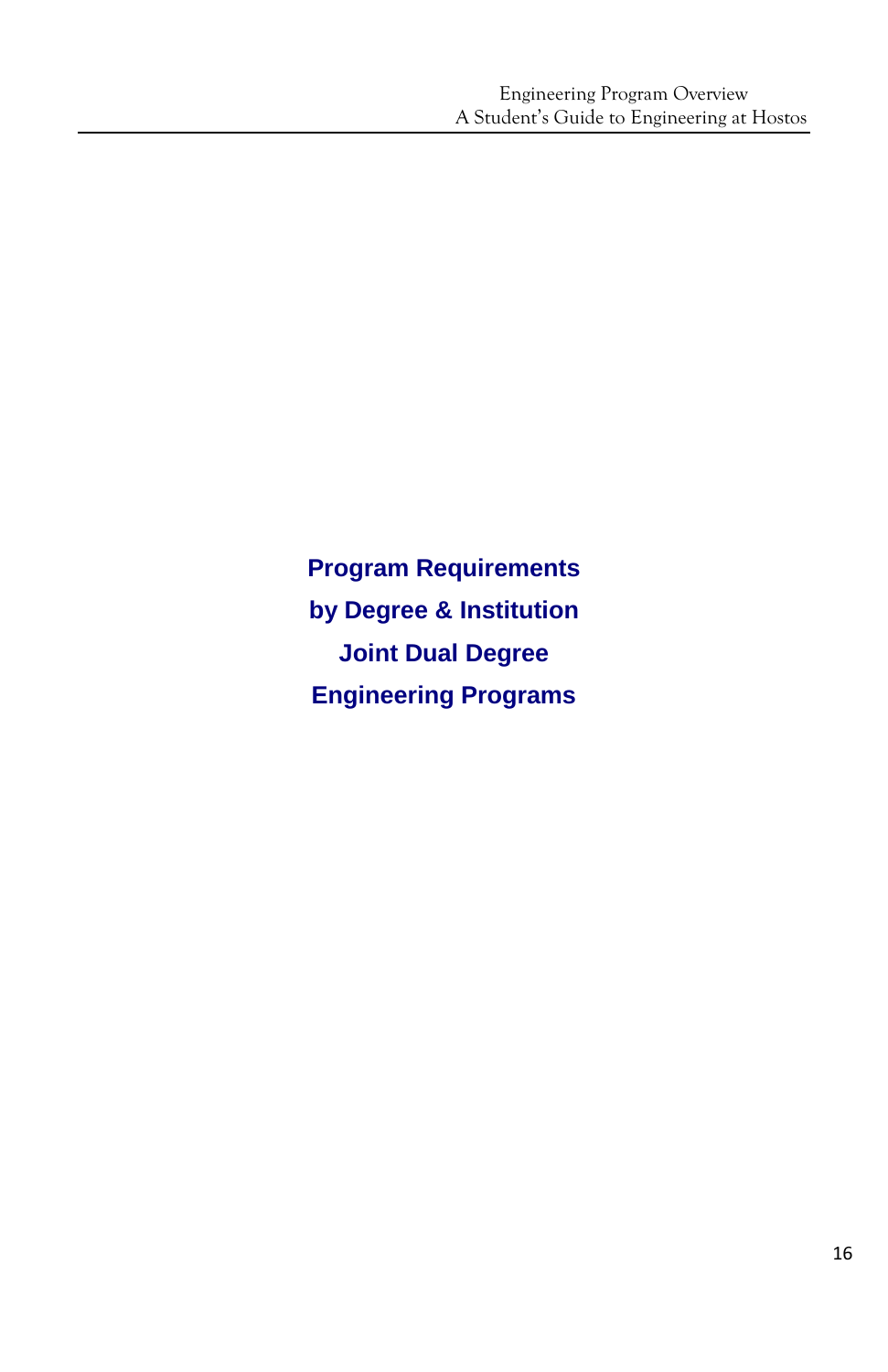**Program Requirements by Degree & Institution Joint Dual Degree Engineering Programs**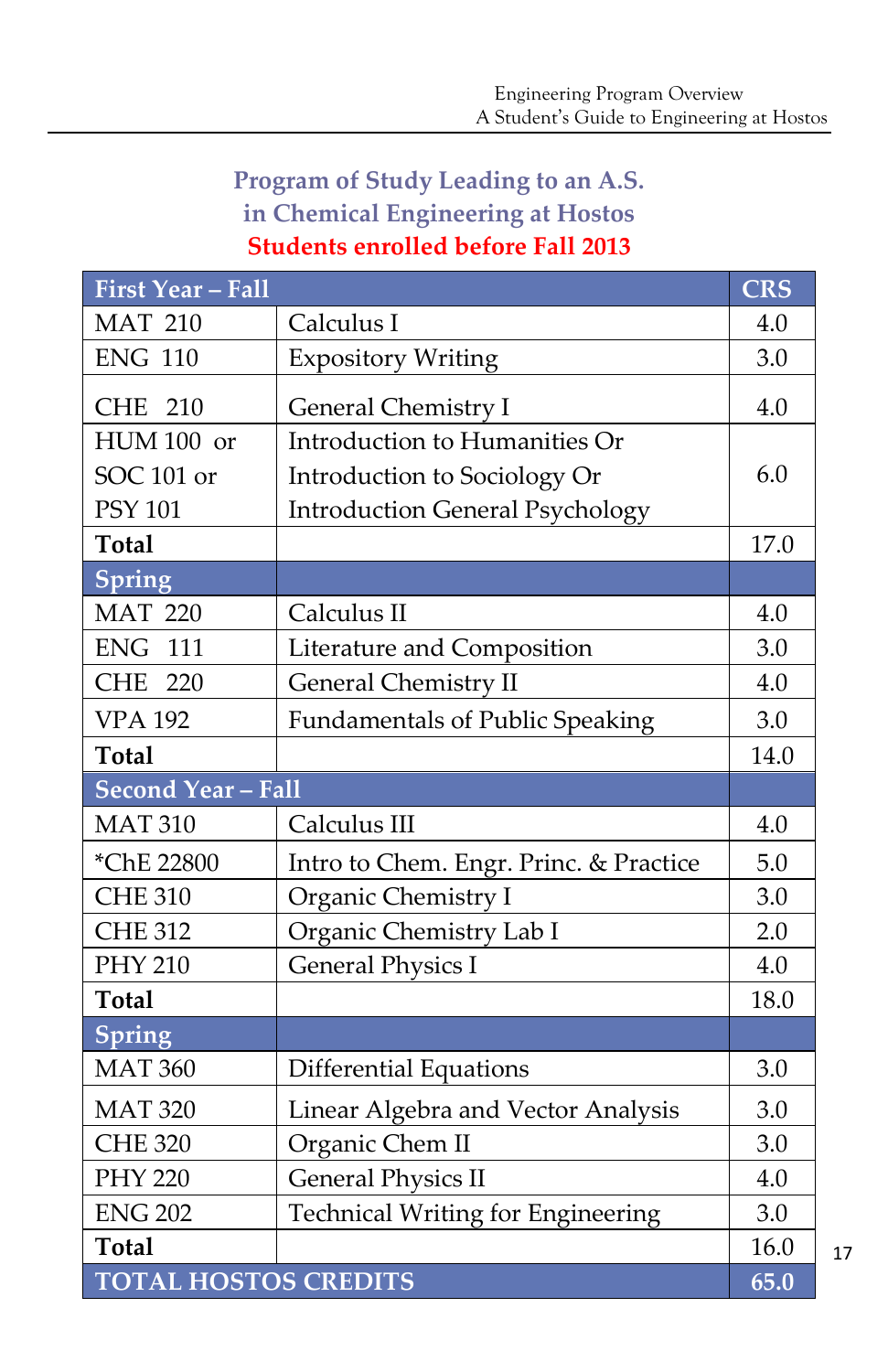# **Program of Study Leading to an A.S. in Chemical Engineering at Hostos Students enrolled before Fall 2013**

| <b>First Year - Fall</b>    |                                          | <b>CRS</b> |
|-----------------------------|------------------------------------------|------------|
| <b>MAT 210</b>              | Calculus I                               | 4.0        |
| <b>ENG 110</b>              | <b>Expository Writing</b>                | 3.0        |
| <b>CHE</b><br>210           | General Chemistry I                      | 4.0        |
| HUM 100 or                  | Introduction to Humanities Or            |            |
| SOC 101 or                  | Introduction to Sociology Or             | 6.0        |
| <b>PSY 101</b>              | <b>Introduction General Psychology</b>   |            |
| <b>Total</b>                |                                          | 17.0       |
| Spring                      |                                          |            |
| <b>MAT 220</b>              | Calculus II                              | 4.0        |
| <b>ENG</b><br>111           | Literature and Composition               | 3.0        |
| <b>CHE</b><br>220           | <b>General Chemistry II</b>              | 4.0        |
| <b>VPA 192</b>              | <b>Fundamentals of Public Speaking</b>   | 3.0        |
| <b>Total</b>                |                                          | 14.0       |
| <b>Second Year - Fall</b>   |                                          |            |
| <b>MAT 310</b>              | Calculus III                             | 4.0        |
| *ChE 22800                  | Intro to Chem. Engr. Princ. & Practice   | 5.0        |
| <b>CHE 310</b>              | Organic Chemistry I                      | 3.0        |
| <b>CHE 312</b>              | Organic Chemistry Lab I                  | 2.0        |
| <b>PHY 210</b>              | <b>General Physics I</b>                 | 4.0        |
| <b>Total</b>                |                                          | 18.0       |
| Spring                      |                                          |            |
| <b>MAT 360</b>              | <b>Differential Equations</b>            | 3.0        |
| <b>MAT 320</b>              | Linear Algebra and Vector Analysis       | 3.0        |
| <b>CHE 320</b>              | Organic Chem II                          | 3.0        |
| <b>PHY 220</b>              | <b>General Physics II</b>                | 4.0        |
| <b>ENG 202</b>              | <b>Technical Writing for Engineering</b> | 3.0        |
| <b>Total</b>                |                                          | 16.0       |
| <b>TOTAL HOSTOS CREDITS</b> |                                          | 65.0       |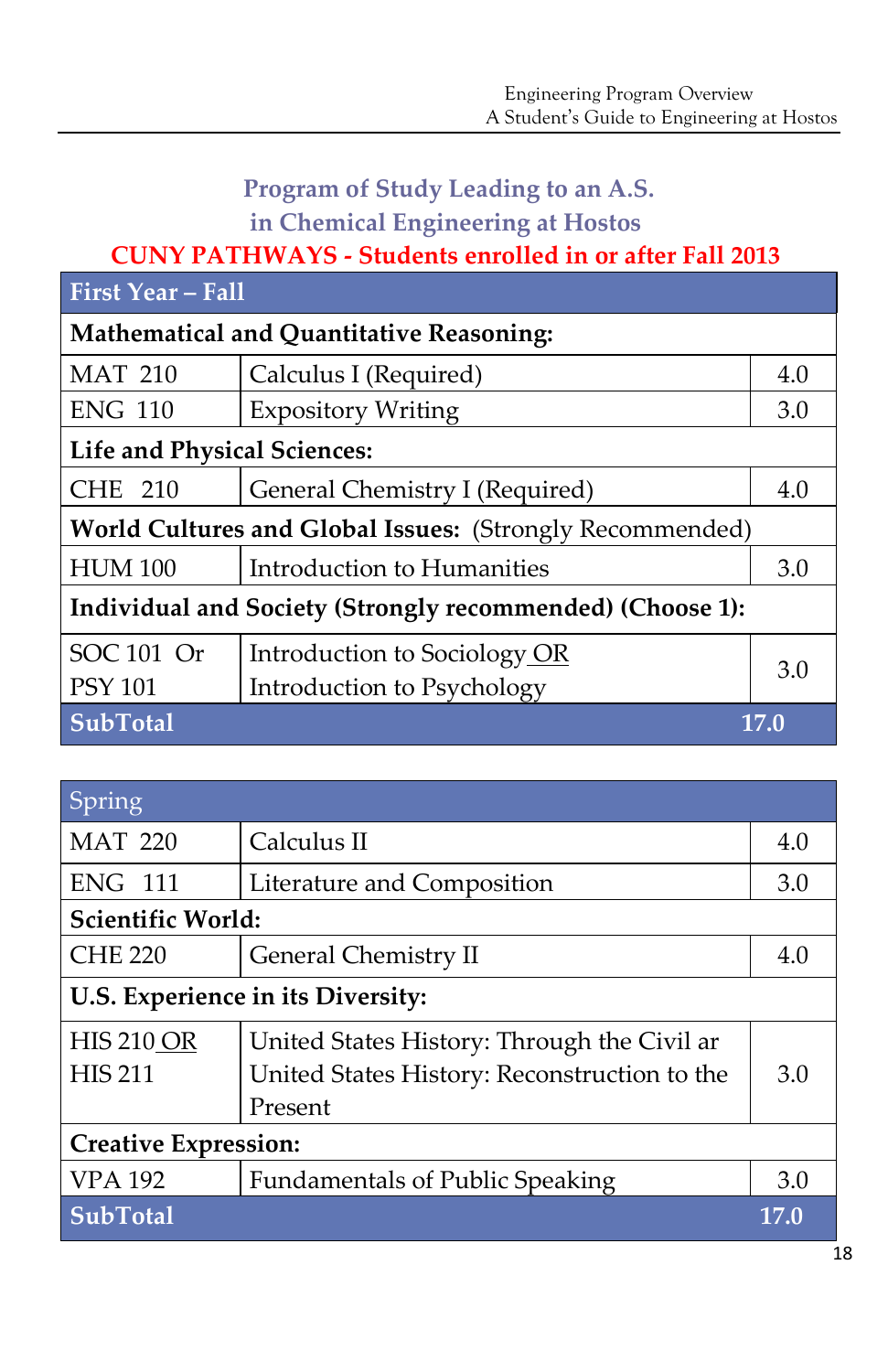# **Program of Study Leading to an A.S. in Chemical Engineering at Hostos**

# **CUNY PATHWAYS - Students enrolled in or after Fall 2013**

| <b>First Year - Fall</b>                                  |                                          |      |  |  |
|-----------------------------------------------------------|------------------------------------------|------|--|--|
|                                                           | Mathematical and Quantitative Reasoning: |      |  |  |
| <b>MAT 210</b>                                            | Calculus I (Required)                    | 4.0  |  |  |
| <b>ENG 110</b>                                            | <b>Expository Writing</b>                | 3.0  |  |  |
| Life and Physical Sciences:                               |                                          |      |  |  |
| 210<br>CHE.                                               | General Chemistry I (Required)           | 4.0  |  |  |
| World Cultures and Global Issues: (Strongly Recommended)  |                                          |      |  |  |
| <b>HUM 100</b>                                            | Introduction to Humanities               | 3.0  |  |  |
| Individual and Society (Strongly recommended) (Choose 1): |                                          |      |  |  |
| SOC 101 Or                                                | Introduction to Sociology OR             | 3.0  |  |  |
| <b>PSY 101</b>                                            | Introduction to Psychology               |      |  |  |
| <b>SubTotal</b>                                           |                                          | 17.0 |  |  |

| Spring                            |                                              |      |  |
|-----------------------------------|----------------------------------------------|------|--|
| <b>MAT 220</b>                    | Calculus II                                  | 4.0  |  |
| <b>ENG 111</b>                    | Literature and Composition                   | 3.0  |  |
| <b>Scientific World:</b>          |                                              |      |  |
| <b>CHE 220</b>                    | General Chemistry II                         | 4.0  |  |
| U.S. Experience in its Diversity: |                                              |      |  |
| <b>HIS 210 OR</b>                 | United States History: Through the Civil ar  |      |  |
| <b>HIS 211</b>                    | United States History: Reconstruction to the | 3.0  |  |
|                                   | Present                                      |      |  |
| <b>Creative Expression:</b>       |                                              |      |  |
| <b>VPA 192</b>                    | <b>Fundamentals of Public Speaking</b>       | 3.0  |  |
| <b>SubTotal</b>                   |                                              | 17.0 |  |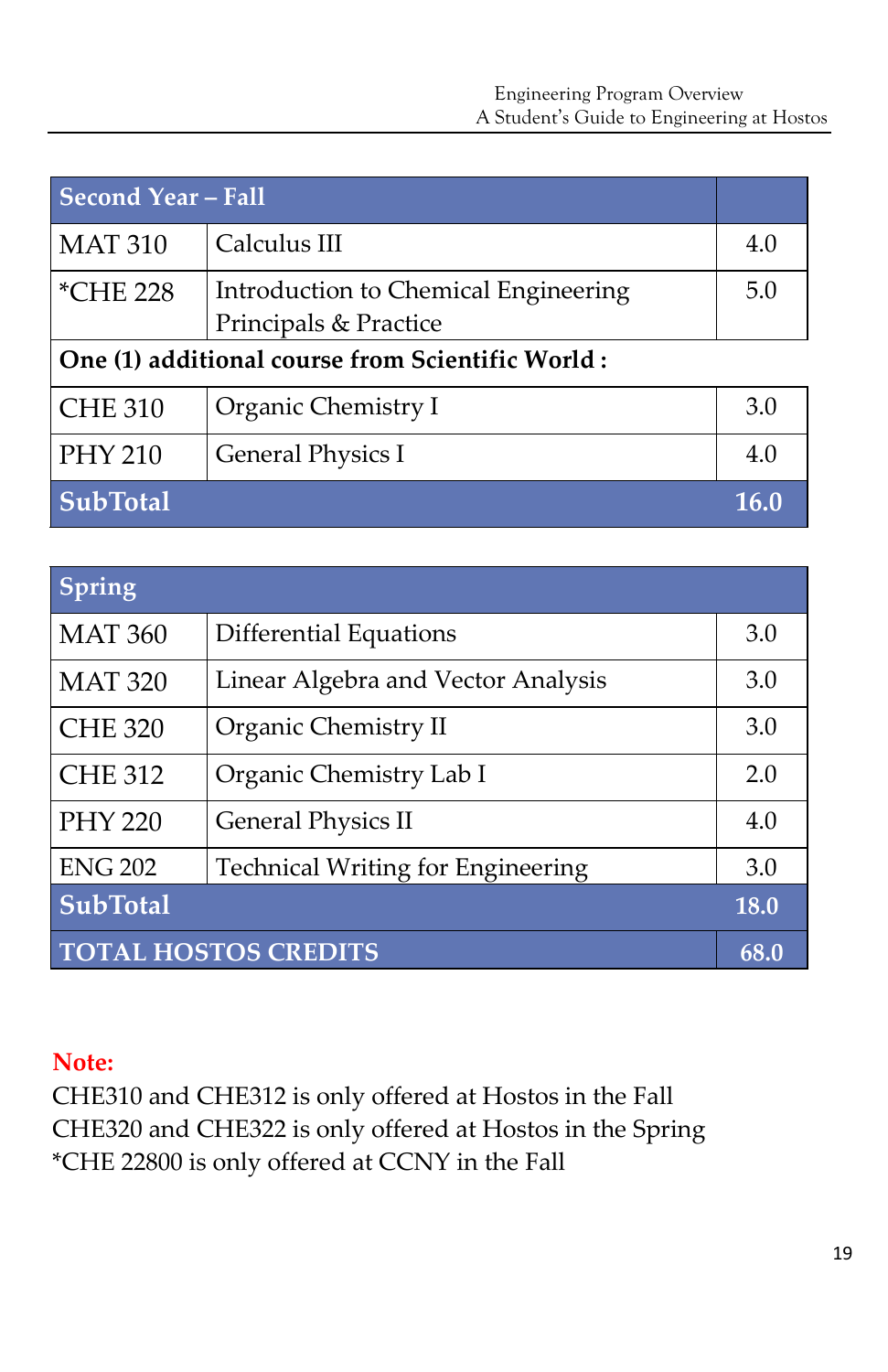| <b>Second Year - Fall</b>                        |                                                               |      |
|--------------------------------------------------|---------------------------------------------------------------|------|
| <b>MAT 310</b>                                   | Calculus III                                                  | 4.0  |
| <i>*CHE 228</i>                                  | Introduction to Chemical Engineering<br>Principals & Practice | 5.0  |
| One (1) additional course from Scientific World: |                                                               |      |
| <b>CHE 310</b>                                   | Organic Chemistry I                                           | 3.0  |
| <b>PHY 210</b>                                   | <b>General Physics I</b>                                      | 4.0  |
| <b>SubTotal</b>                                  |                                                               | 16.0 |

| Spring                      |                                    |      |
|-----------------------------|------------------------------------|------|
| <b>MAT 360</b>              | <b>Differential Equations</b>      | 3.0  |
| <b>MAT 320</b>              | Linear Algebra and Vector Analysis | 3.0  |
| <b>CHE 320</b>              | Organic Chemistry II               | 3.0  |
| <b>CHE 312</b>              | Organic Chemistry Lab I            | 2.0  |
| <b>PHY 220</b>              | <b>General Physics II</b>          | 4.0  |
| <b>ENG 202</b>              | Technical Writing for Engineering  | 3.0  |
| <b>SubTotal</b>             |                                    | 18.0 |
| <b>TOTAL HOSTOS CREDITS</b> |                                    |      |

#### **Note:**

CHE310 and CHE312 is only offered at Hostos in the Fall CHE320 and CHE322 is only offered at Hostos in the Spring \*CHE 22800 is only offered at CCNY in the Fall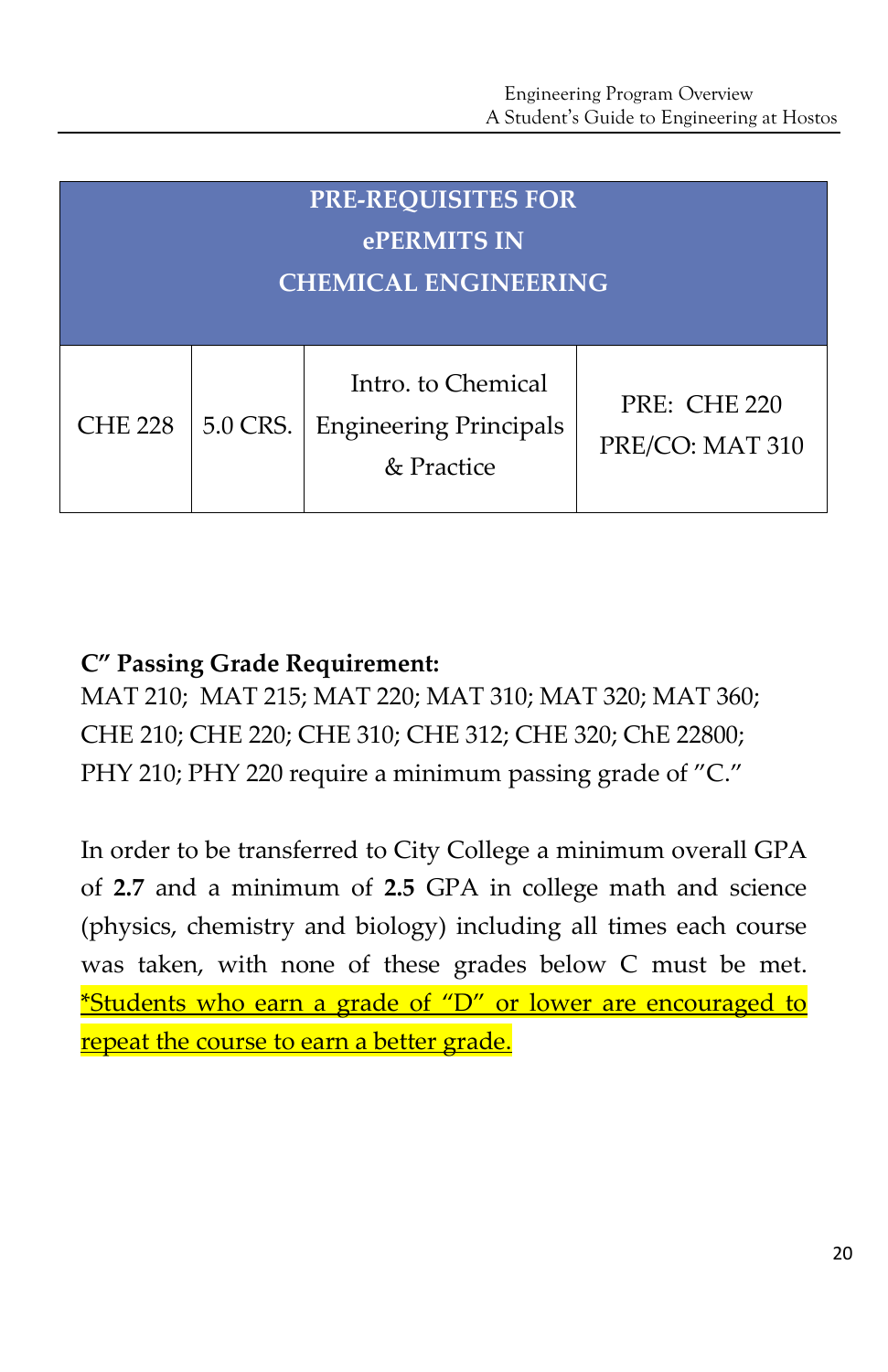| <b>PRE-REQUISITES FOR</b>   |             |                                                                   |                                        |  |  |
|-----------------------------|-------------|-------------------------------------------------------------------|----------------------------------------|--|--|
|                             | ePERMITS IN |                                                                   |                                        |  |  |
| <b>CHEMICAL ENGINEERING</b> |             |                                                                   |                                        |  |  |
|                             |             |                                                                   |                                        |  |  |
| <b>CHE 228</b>              | 5.0 CRS.    | Intro. to Chemical<br><b>Engineering Principals</b><br>& Practice | <b>PRE: CHE 220</b><br>PRE/CO: MAT 310 |  |  |

# **C" Passing Grade Requirement:**

MAT 210; MAT 215; MAT 220; MAT 310; MAT 320; MAT 360; CHE 210; CHE 220; CHE 310; CHE 312; CHE 320; ChE 22800; PHY 210; PHY 220 require a minimum passing grade of "C."

In order to be transferred to City College a minimum overall GPA of **2.7** and a minimum of **2.5** GPA in college math and science (physics, chemistry and biology) including all times each course was taken, with none of these grades below C must be met. \*Students who earn a grade of "D" or lower are encouraged to repeat the course to earn a better grade.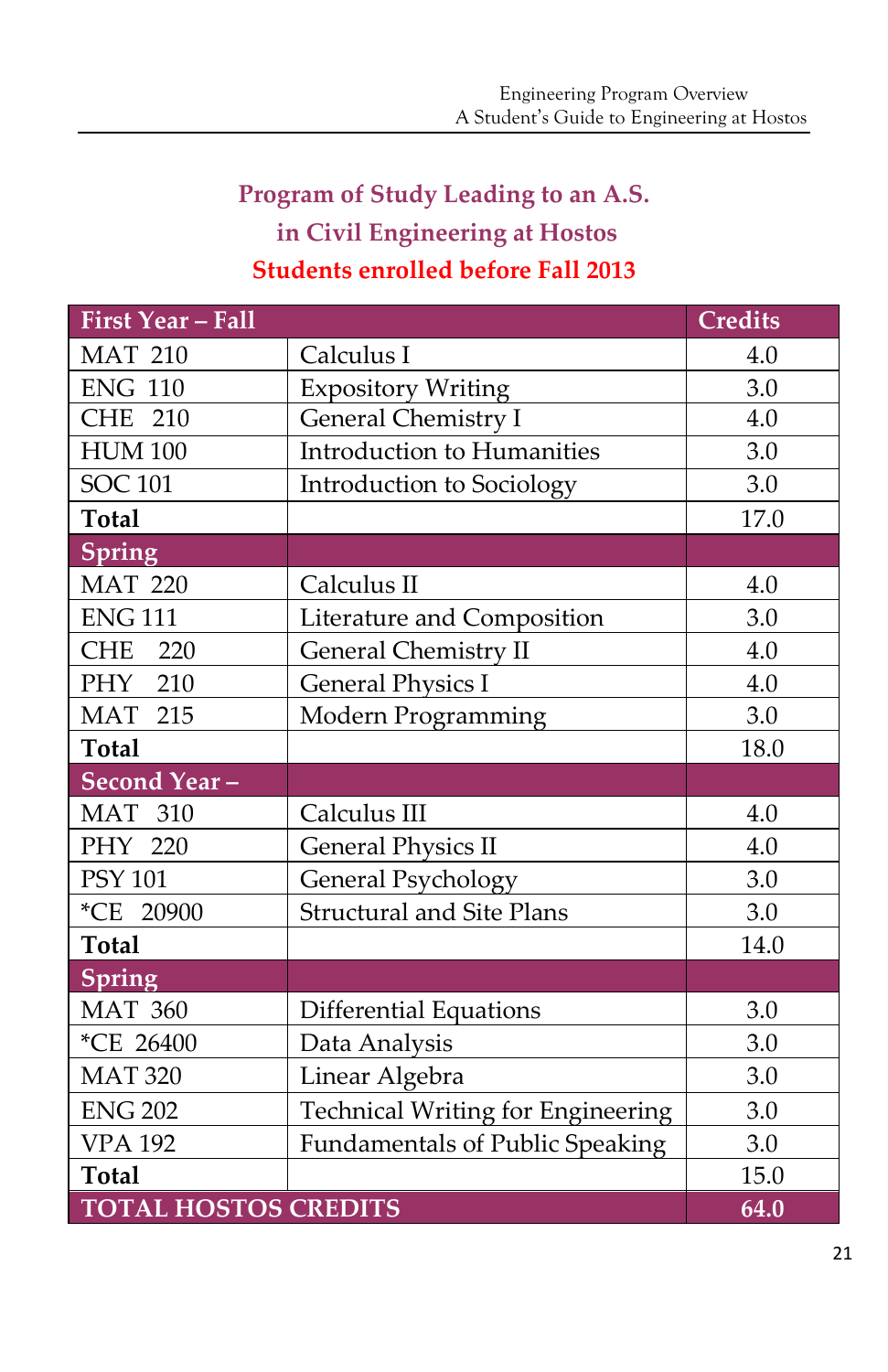# **Program of Study Leading to an A.S. in Civil Engineering at Hostos Students enrolled before Fall 2013**

| <b>First Year - Fall</b>    |                                          | <b>Credits</b> |
|-----------------------------|------------------------------------------|----------------|
| <b>MAT 210</b>              | Calculus I                               | 4.0            |
| <b>ENG 110</b>              | <b>Expository Writing</b>                | 3.0            |
| CHE 210                     | General Chemistry I                      | 4.0            |
| <b>HUM 100</b>              | Introduction to Humanities               | 3.0            |
| <b>SOC 101</b>              | Introduction to Sociology                | 3.0            |
| <b>Total</b>                |                                          | 17.0           |
| <b>Spring</b>               |                                          |                |
| <b>MAT 220</b>              | Calculus II                              | 4.0            |
| <b>ENG 111</b>              | Literature and Composition               | 3.0            |
| <b>CHE</b><br>220           | <b>General Chemistry II</b>              | 4.0            |
| PHY 210                     | <b>General Physics I</b>                 | 4.0            |
| <b>MAT 215</b>              | Modern Programming                       | 3.0            |
| <b>Total</b>                |                                          | 18.0           |
| Second Year-                |                                          |                |
| <b>MAT 310</b>              | Calculus III                             | 4.0            |
| PHY 220                     | <b>General Physics II</b>                | 4.0            |
| <b>PSY 101</b>              | General Psychology                       | 3.0            |
| *CE 20900                   | <b>Structural and Site Plans</b>         | 3.0            |
| <b>Total</b>                |                                          | 14.0           |
| <b>Spring</b>               |                                          |                |
| <b>MAT 360</b>              | <b>Differential Equations</b>            | 3.0            |
| *CE 26400                   | Data Analysis                            | 3.0            |
| <b>MAT 320</b>              | Linear Algebra                           | 3.0            |
| <b>ENG 202</b>              | <b>Technical Writing for Engineering</b> | 3.0            |
| <b>VPA 192</b>              | <b>Fundamentals of Public Speaking</b>   | 3.0            |
| <b>Total</b>                |                                          | 15.0           |
| <b>TOTAL HOSTOS CREDITS</b> |                                          | 64.0           |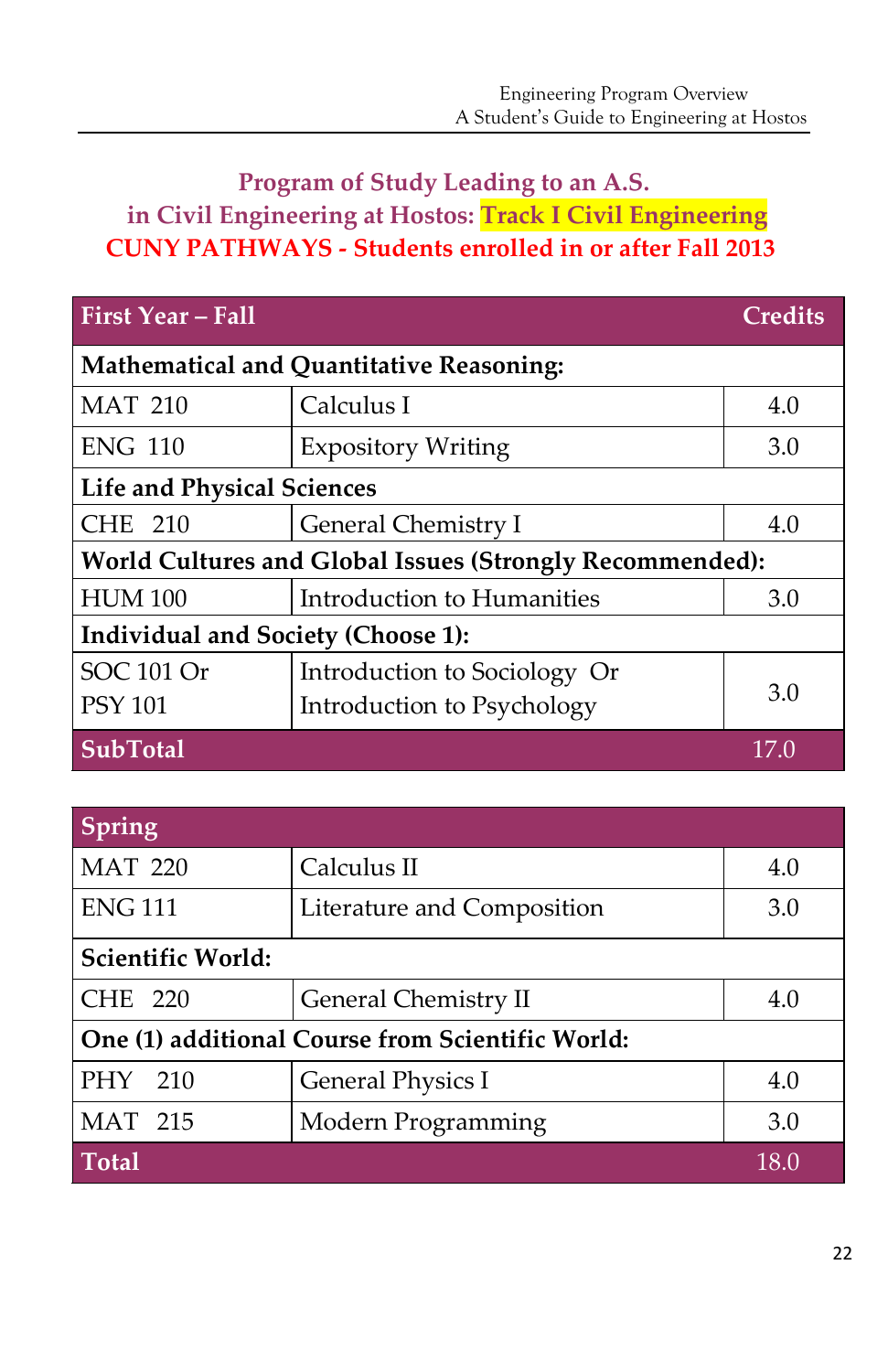# **Program of Study Leading to an A.S. in Civil Engineering at Hostos: Track I Civil Engineering CUNY PATHWAYS - Students enrolled in or after Fall 2013**

| <b>First Year - Fall</b>                                 |                              | <b>Credits</b> |  |
|----------------------------------------------------------|------------------------------|----------------|--|
| <b>Mathematical and Quantitative Reasoning:</b>          |                              |                |  |
| <b>MAT 210</b>                                           | Calculus I                   | 4.0            |  |
| <b>ENG 110</b>                                           | <b>Expository Writing</b>    | 3.0            |  |
| <b>Life and Physical Sciences</b>                        |                              |                |  |
| <b>CHE 210</b>                                           | General Chemistry I          | 4.0            |  |
| World Cultures and Global Issues (Strongly Recommended): |                              |                |  |
| <b>HUM 100</b>                                           | Introduction to Humanities   | 3.0            |  |
| Individual and Society (Choose 1):                       |                              |                |  |
| SOC 101 Or                                               | Introduction to Sociology Or |                |  |
| <b>PSY 101</b>                                           | Introduction to Psychology   | 3.0            |  |
| <b>SubTotal</b>                                          |                              | 17.0           |  |

| Spring                                           |                            |      |  |
|--------------------------------------------------|----------------------------|------|--|
| <b>MAT 220</b>                                   | Calculus II                | 4.0  |  |
| <b>ENG 111</b>                                   | Literature and Composition | 3.0  |  |
| Scientific World:                                |                            |      |  |
| <b>CHE 220</b>                                   | General Chemistry II       | 4.0  |  |
| One (1) additional Course from Scientific World: |                            |      |  |
| PHY 210                                          | <b>General Physics I</b>   | 4.0  |  |
| <b>MAT 215</b>                                   | Modern Programming         | 3.0  |  |
| <b>Total</b>                                     |                            | 18.0 |  |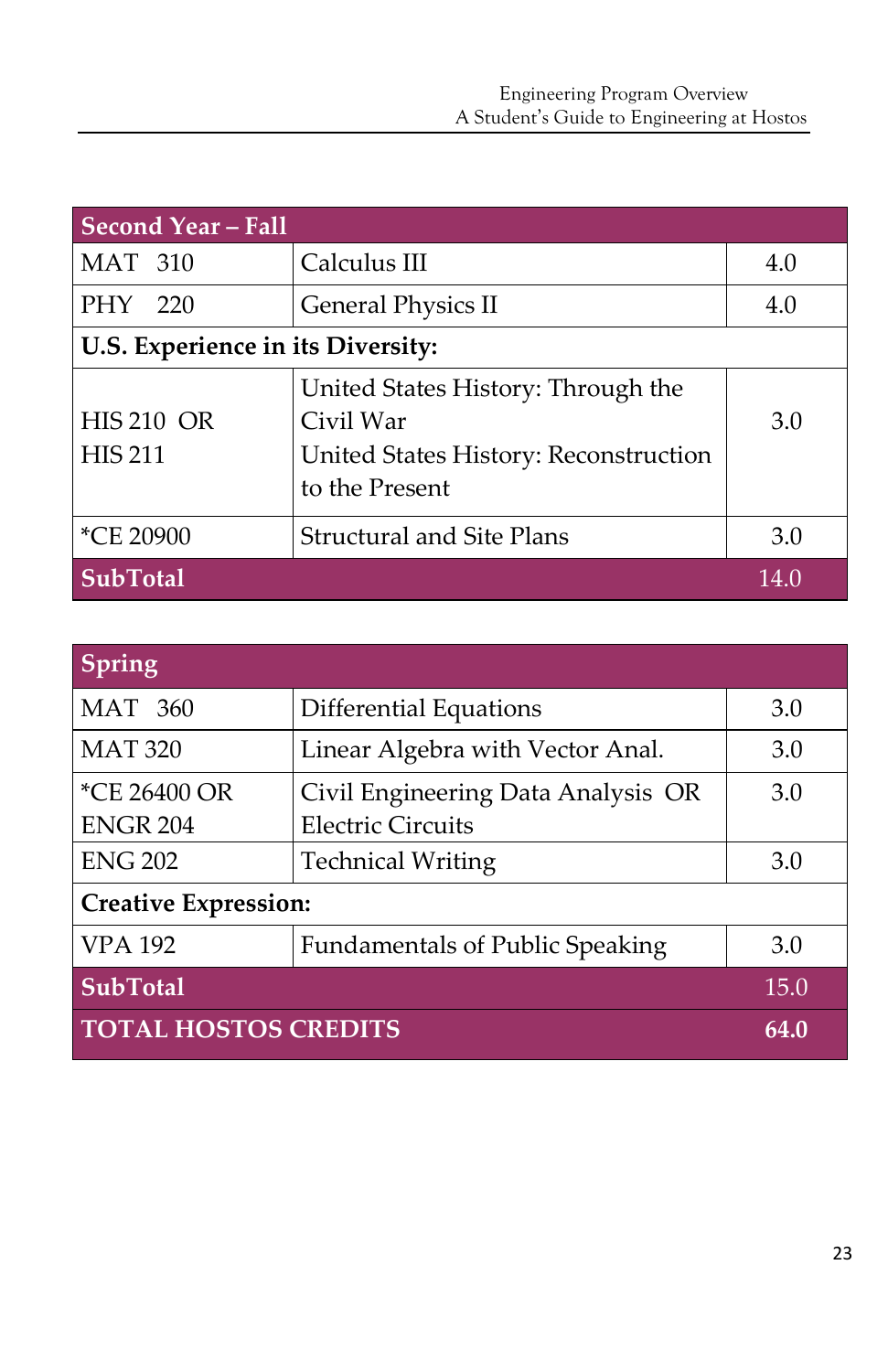| Second Year - Fall                  |                                                                                                            |      |  |
|-------------------------------------|------------------------------------------------------------------------------------------------------------|------|--|
| <b>MAT 310</b>                      | Calculus III                                                                                               | 4.0  |  |
| PHY 220                             | <b>General Physics II</b>                                                                                  | 4.0  |  |
| U.S. Experience in its Diversity:   |                                                                                                            |      |  |
| <b>HIS 210 OR</b><br><b>HIS 211</b> | United States History: Through the<br>Civil War<br>United States History: Reconstruction<br>to the Present | 3.0  |  |
| *CE 20900                           | <b>Structural and Site Plans</b>                                                                           | 3.0  |  |
| <b>SubTotal</b>                     |                                                                                                            | 14.0 |  |

| Spring                      |                                        |      |  |
|-----------------------------|----------------------------------------|------|--|
| <b>MAT 360</b>              | Differential Equations                 | 3.0  |  |
| <b>MAT 320</b>              | Linear Algebra with Vector Anal.       | 3.0  |  |
| *CE 26400 OR                | Civil Engineering Data Analysis OR     | 3.0  |  |
| <b>ENGR 204</b>             | <b>Electric Circuits</b>               |      |  |
| <b>ENG 202</b>              | <b>Technical Writing</b>               | 3.0  |  |
| <b>Creative Expression:</b> |                                        |      |  |
| <b>VPA 192</b>              | <b>Fundamentals of Public Speaking</b> | 3.0  |  |
| <b>SubTotal</b>             |                                        | 15.0 |  |
| <b>TOTAL HOSTOS CREDITS</b> |                                        | 64.0 |  |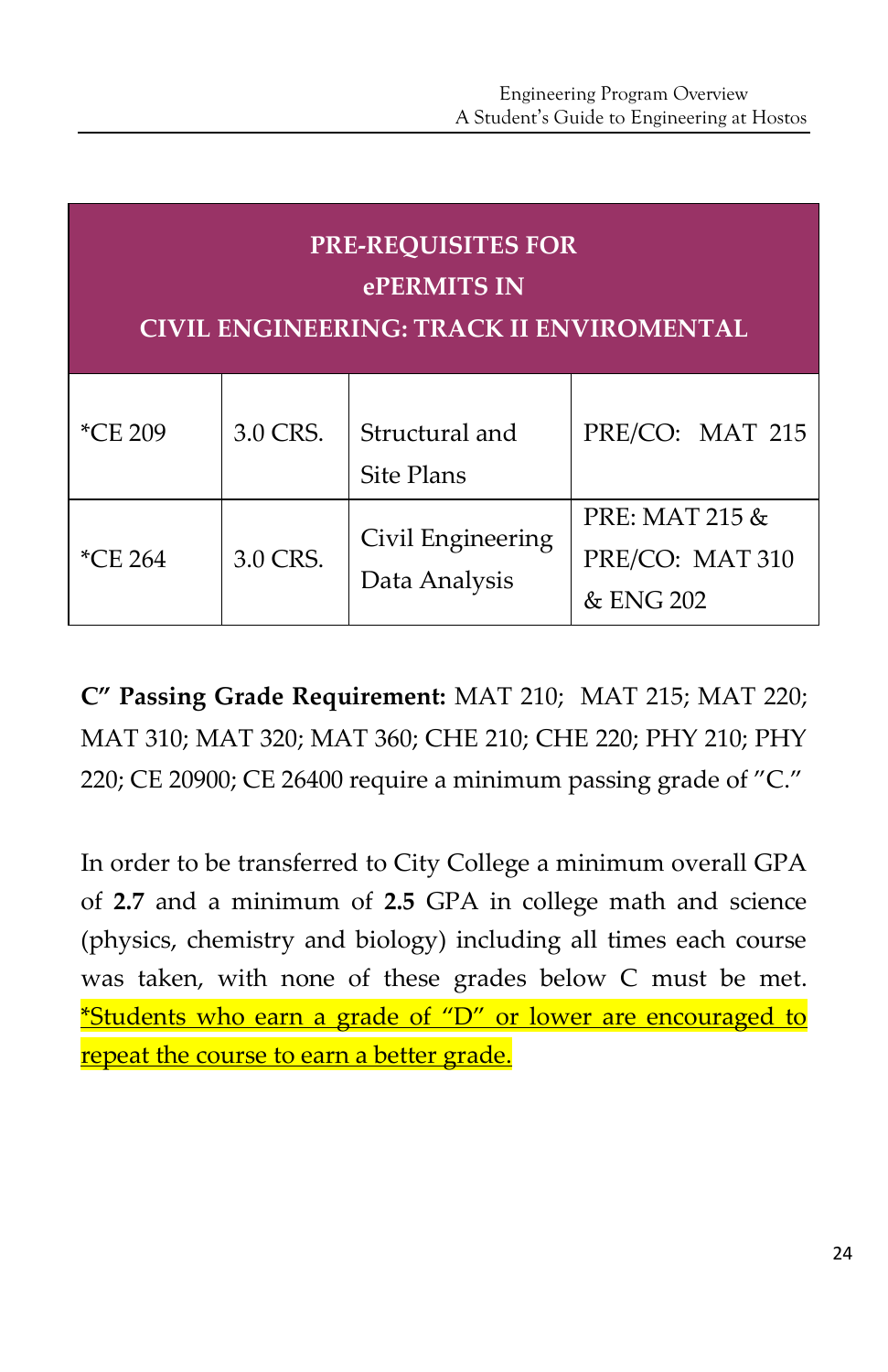| <b>PRE-REQUISITES FOR</b><br>ePERMITS IN<br><b>CIVIL ENGINEERING: TRACK II ENVIROMENTAL</b> |          |                                    |                                                |  |
|---------------------------------------------------------------------------------------------|----------|------------------------------------|------------------------------------------------|--|
| *CE 209                                                                                     | 3.0 CRS. | Structural and<br>Site Plans       | PRE/CO: MAT 215                                |  |
| *CE 264                                                                                     | 3.0 CRS. | Civil Engineering<br>Data Analysis | PRE: MAT 215 &<br>PRE/CO: MAT 310<br>& ENG 202 |  |

**C" Passing Grade Requirement:** MAT 210; MAT 215; MAT 220; MAT 310; MAT 320; MAT 360; CHE 210; CHE 220; PHY 210; PHY 220; CE 20900; CE 26400 require a minimum passing grade of "C."

In order to be transferred to City College a minimum overall GPA of **2.7** and a minimum of **2.5** GPA in college math and science (physics, chemistry and biology) including all times each course was taken, with none of these grades below C must be met. \*Students who earn a grade of "D" or lower are encouraged to repeat the course to earn a better grade.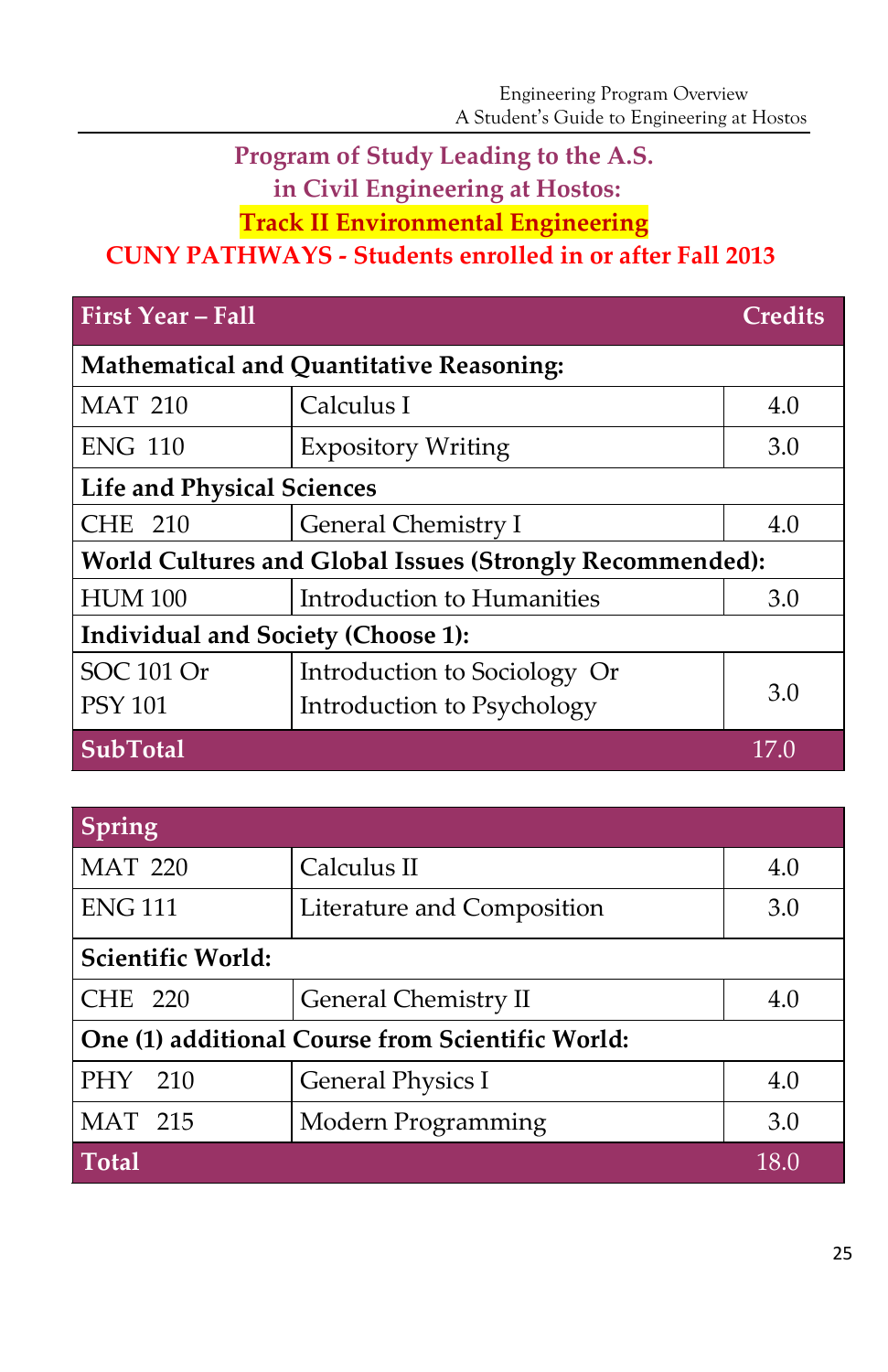# **Program of Study Leading to the A.S.**

**in Civil Engineering at Hostos:** 

**Track II Environmental Engineering**

# **CUNY PATHWAYS - Students enrolled in or after Fall 2013**

| <b>First Year - Fall</b>                                 |                                                 | <b>Credits</b> |  |
|----------------------------------------------------------|-------------------------------------------------|----------------|--|
|                                                          | <b>Mathematical and Quantitative Reasoning:</b> |                |  |
| <b>MAT 210</b>                                           | Calculus I                                      | 4.0            |  |
| <b>ENG 110</b>                                           | <b>Expository Writing</b>                       | 3.0            |  |
| <b>Life and Physical Sciences</b>                        |                                                 |                |  |
| CHE 210                                                  | General Chemistry I                             | 4.0            |  |
| World Cultures and Global Issues (Strongly Recommended): |                                                 |                |  |
| <b>HUM 100</b>                                           | Introduction to Humanities                      | 3.0            |  |
| <b>Individual and Society (Choose 1):</b>                |                                                 |                |  |
| SOC 101 Or                                               | Introduction to Sociology Or                    |                |  |
| <b>PSY 101</b>                                           | Introduction to Psychology                      | 3.0            |  |
| <b>SubTotal</b>                                          |                                                 | 17.0           |  |

| Spring                                           |                            |      |  |
|--------------------------------------------------|----------------------------|------|--|
| <b>MAT 220</b>                                   | Calculus II                | 4.0  |  |
| <b>ENG 111</b>                                   | Literature and Composition | 3.0  |  |
| Scientific World:                                |                            |      |  |
| <b>CHE 220</b>                                   | General Chemistry II       | 4.0  |  |
| One (1) additional Course from Scientific World: |                            |      |  |
| PHY 210                                          | <b>General Physics I</b>   | 4.0  |  |
| <b>MAT 215</b>                                   | Modern Programming         | 3.0  |  |
| <b>Total</b>                                     |                            | 18.0 |  |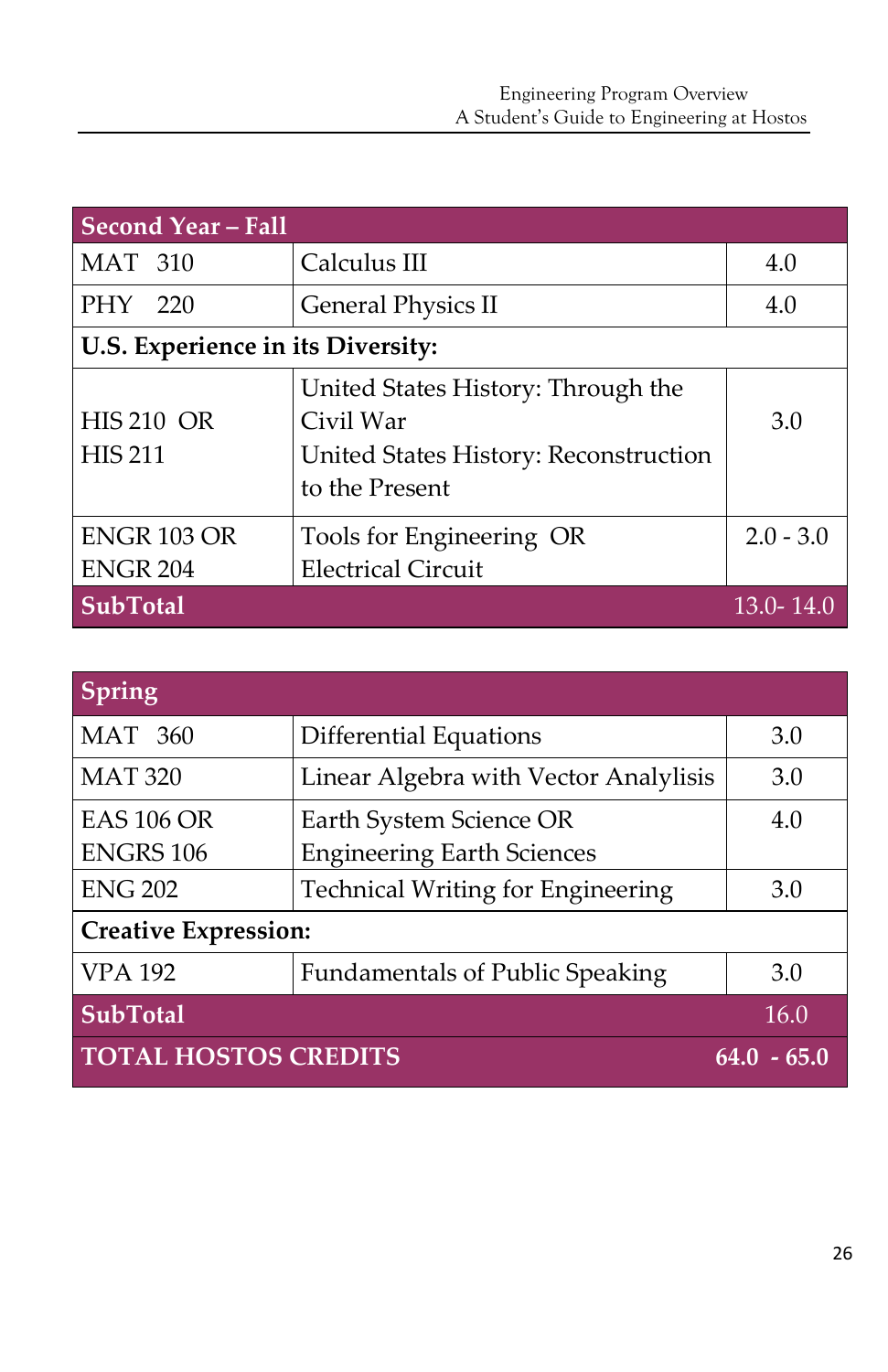| <b>Second Year - Fall</b>           |                                                                                                            |             |  |  |
|-------------------------------------|------------------------------------------------------------------------------------------------------------|-------------|--|--|
| <b>MAT 310</b>                      | Calculus III                                                                                               | 4.0         |  |  |
| PHY 220                             | <b>General Physics II</b>                                                                                  | 4.0         |  |  |
| U.S. Experience in its Diversity:   |                                                                                                            |             |  |  |
| <b>HIS 210 OR</b><br><b>HIS 211</b> | United States History: Through the<br>Civil War<br>United States History: Reconstruction<br>to the Present | 3.0         |  |  |
| ENGR 103 OR                         | Tools for Engineering OR                                                                                   | $2.0 - 3.0$ |  |  |
| <b>ENGR 204</b>                     | <b>Electrical Circuit</b>                                                                                  |             |  |  |
| <b>SubTotal</b>                     |                                                                                                            | 13.0-14.0   |  |  |

| Spring                      |                                          |                 |  |
|-----------------------------|------------------------------------------|-----------------|--|
| <b>MAT 360</b>              | <b>Differential Equations</b>            | 3.0             |  |
| <b>MAT 320</b>              | Linear Algebra with Vector Analylisis    | 3.0             |  |
| <b>EAS 106 OR</b>           | Earth System Science OR                  | 4.0             |  |
| <b>ENGRS 106</b>            | <b>Engineering Earth Sciences</b>        |                 |  |
| <b>ENG 202</b>              | <b>Technical Writing for Engineering</b> | 3.0             |  |
| <b>Creative Expression:</b> |                                          |                 |  |
| <b>VPA 192</b>              | Fundamentals of Public Speaking          | 3.0             |  |
| <b>SubTotal</b>             |                                          | 16.0            |  |
| <b>TOTAL HOSTOS CREDITS</b> |                                          | $-65.0$<br>64.0 |  |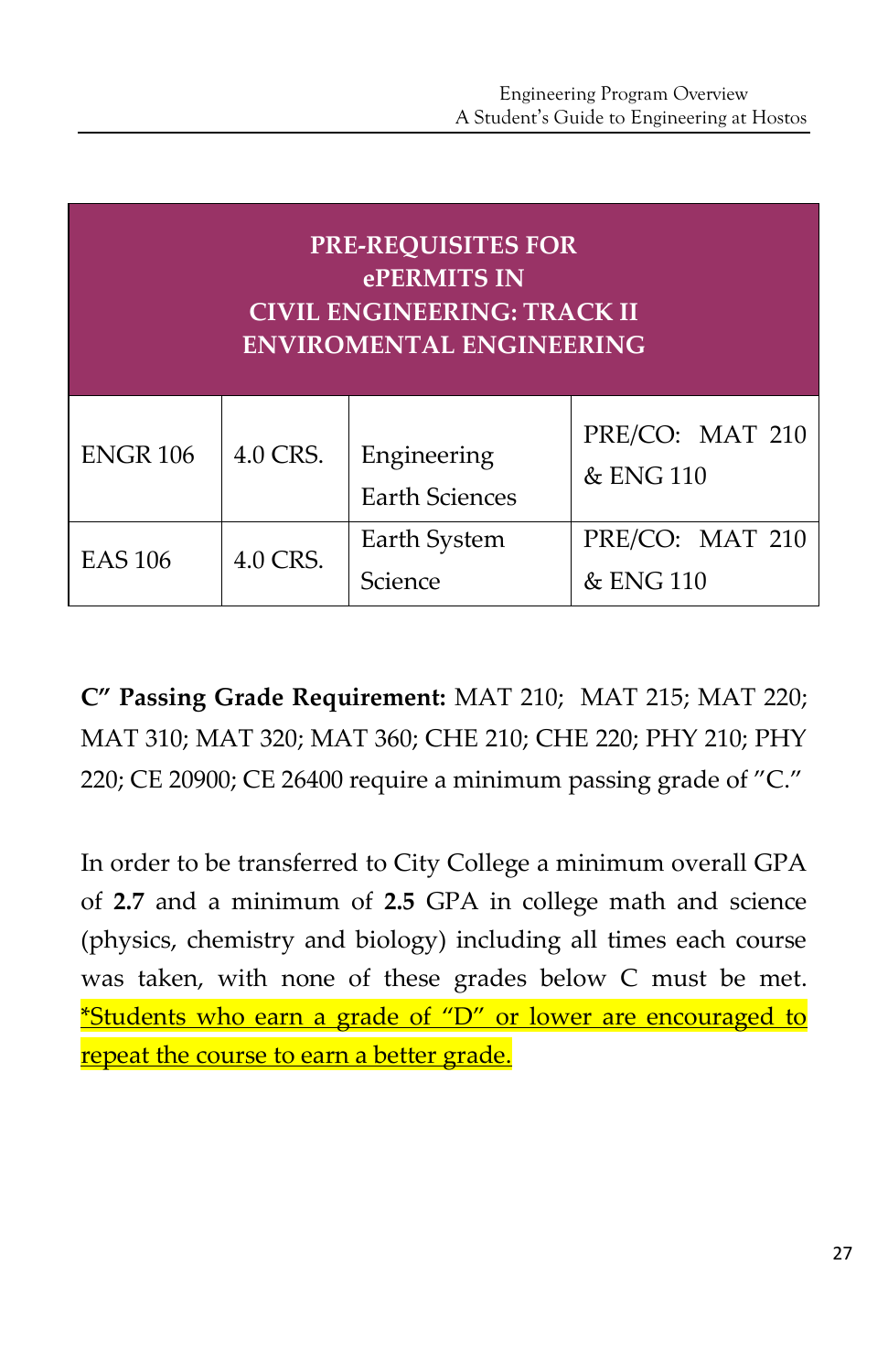| <b>PRE-REQUISITES FOR</b><br>ePERMITS IN<br><b>CIVIL ENGINEERING: TRACK II</b><br><b>ENVIROMENTAL ENGINEERING</b> |          |                                      |                              |
|-------------------------------------------------------------------------------------------------------------------|----------|--------------------------------------|------------------------------|
| <b>ENGR 106</b>                                                                                                   | 4.0 CRS. | Engineering<br><b>Earth Sciences</b> | PRE/CO: MAT 210<br>& ENG 110 |
| <b>EAS 106</b>                                                                                                    | 4.0 CRS. | Earth System<br>Science              | PRE/CO: MAT 210<br>& ENG 110 |

**C" Passing Grade Requirement:** MAT 210; MAT 215; MAT 220; MAT 310; MAT 320; MAT 360; CHE 210; CHE 220; PHY 210; PHY 220; CE 20900; CE 26400 require a minimum passing grade of "C."

In order to be transferred to City College a minimum overall GPA of **2.7** and a minimum of **2.5** GPA in college math and science (physics, chemistry and biology) including all times each course was taken, with none of these grades below C must be met. \*Students who earn a grade of "D" or lower are encouraged to repeat the course to earn a better grade.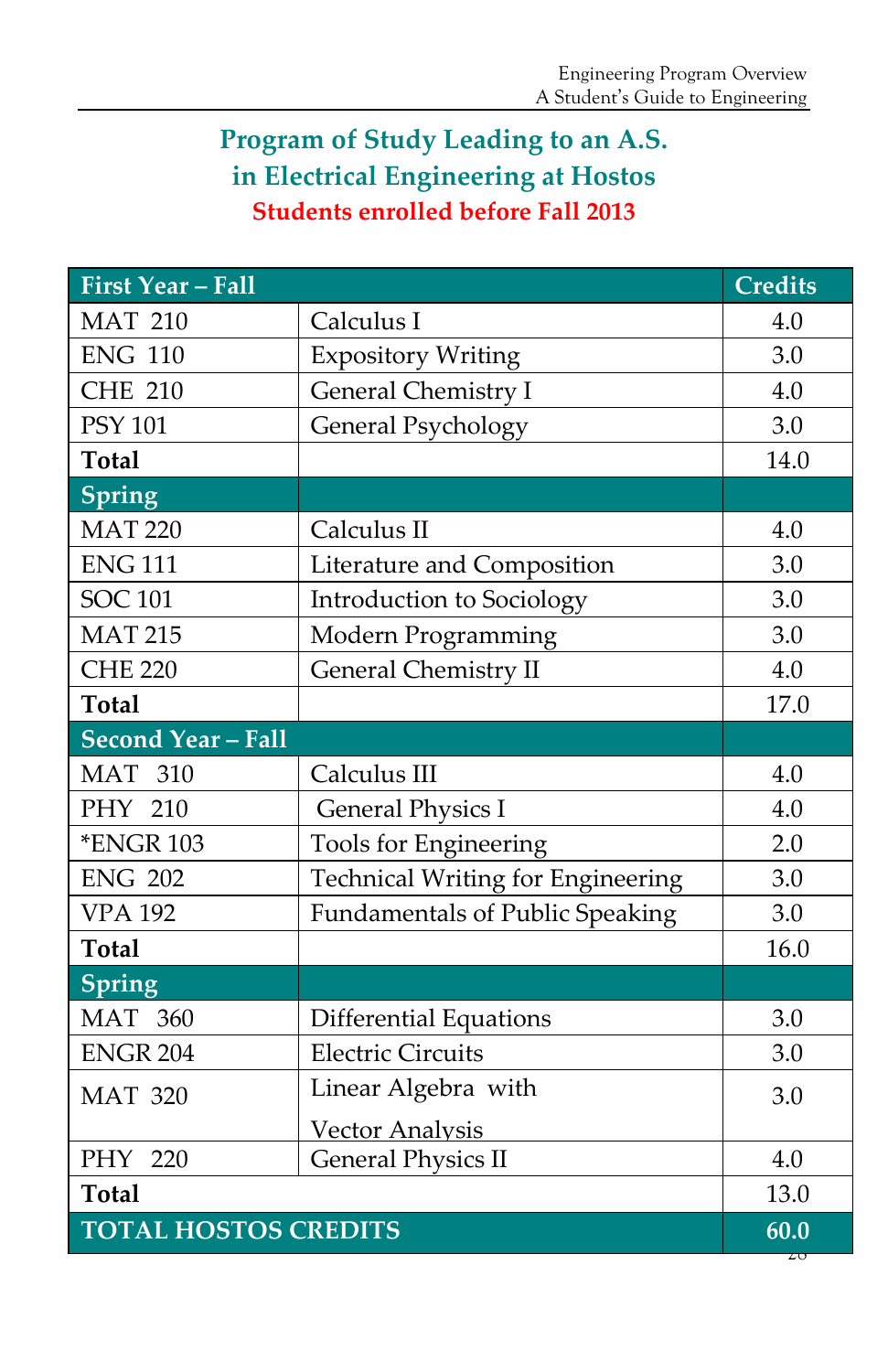# **Program of Study Leading to an A.S. in Electrical Engineering at Hostos Students enrolled before Fall 2013**

| <b>First Year - Fall</b>    |                                        | <b>Credits</b> |
|-----------------------------|----------------------------------------|----------------|
| <b>MAT 210</b>              | Calculus I                             | 4.0            |
| <b>ENG 110</b>              | <b>Expository Writing</b>              | 3.0            |
| <b>CHE 210</b>              | General Chemistry I                    | 4.0            |
| <b>PSY 101</b>              | <b>General Psychology</b>              | 3.0            |
| <b>Total</b>                |                                        | 14.0           |
| Spring                      |                                        |                |
| <b>MAT 220</b>              | Calculus II                            | 4.0            |
| <b>ENG 111</b>              | Literature and Composition             | 3.0            |
| <b>SOC 101</b>              | Introduction to Sociology              | 3.0            |
| <b>MAT 215</b>              | Modern Programming                     | 3.0            |
| <b>CHE 220</b>              | <b>General Chemistry II</b>            | 4.0            |
| <b>Total</b>                |                                        | 17.0           |
| <b>Second Year - Fall</b>   |                                        |                |
| <b>MAT 310</b>              | Calculus III                           | 4.0            |
| PHY 210                     | <b>General Physics I</b>               | 4.0            |
| <b>*ENGR 103</b>            | <b>Tools for Engineering</b>           | 2.0            |
| <b>ENG 202</b>              | Technical Writing for Engineering      | 3.0            |
| <b>VPA 192</b>              | <b>Fundamentals of Public Speaking</b> | 3.0            |
| <b>Total</b>                |                                        | 16.0           |
| Spring                      |                                        |                |
| <b>MAT 360</b>              | Differential Equations                 | 3.0            |
| <b>ENGR 204</b>             | <b>Electric Circuits</b>               | 3.0            |
| <b>MAT 320</b>              | Linear Algebra with                    | 3.0            |
|                             | <b>Vector Analysis</b>                 |                |
| PHY 220                     | <b>General Physics II</b>              | 4.0            |
| <b>Total</b>                |                                        | 13.0           |
| <b>TOTAL HOSTOS CREDITS</b> |                                        | 60.0           |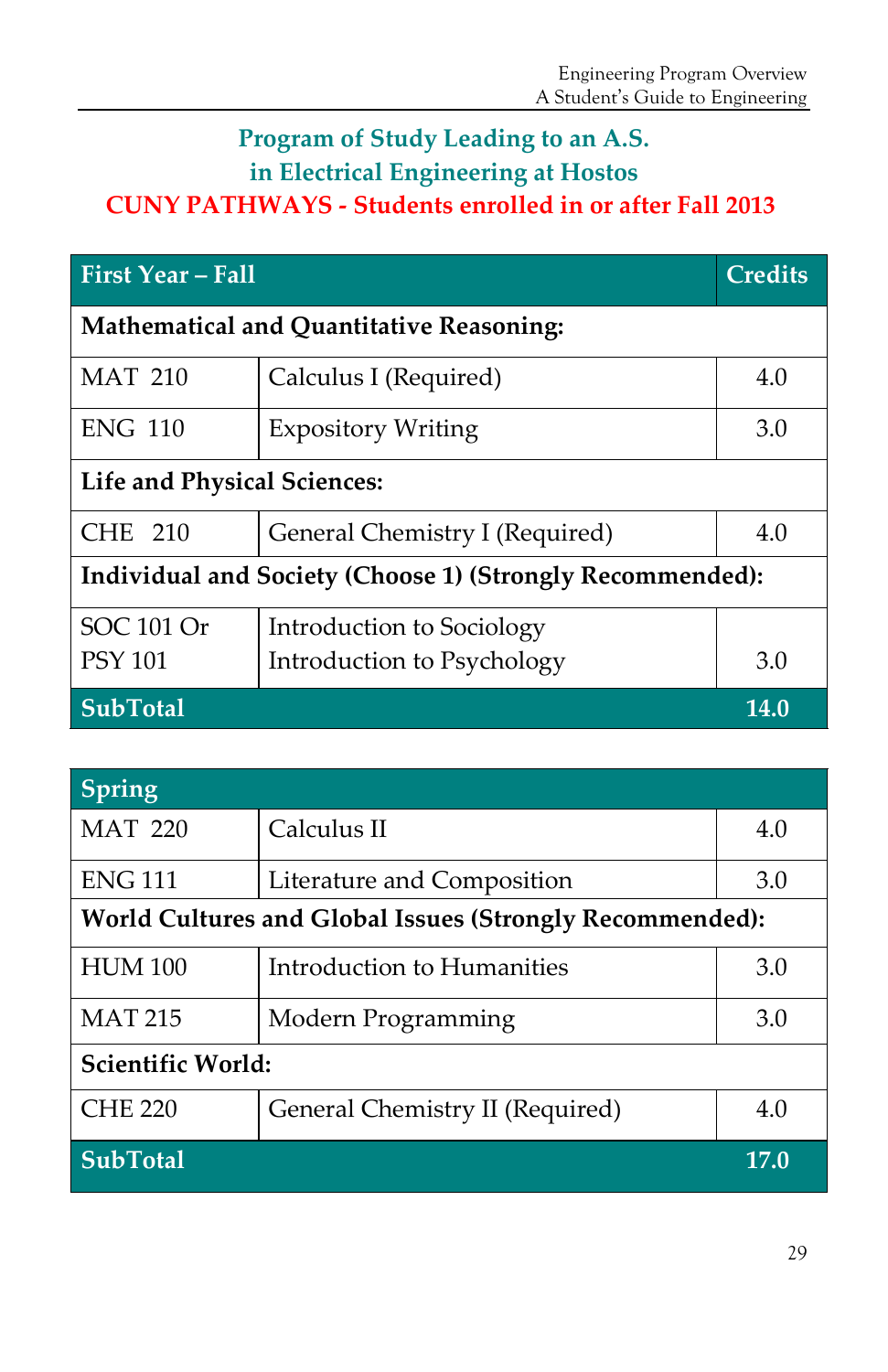# **Program of Study Leading to an A.S. in Electrical Engineering at Hostos**

# **CUNY PATHWAYS - Students enrolled in or after Fall 2013**

| First Year - Fall                                         | <b>Credits</b>                 |      |  |
|-----------------------------------------------------------|--------------------------------|------|--|
| Mathematical and Quantitative Reasoning:                  |                                |      |  |
| <b>MAT 210</b>                                            | Calculus I (Required)          | 4.0  |  |
| <b>ENG 110</b>                                            | <b>Expository Writing</b>      | 3.0  |  |
| <b>Life and Physical Sciences:</b>                        |                                |      |  |
| <b>CHE 210</b>                                            | General Chemistry I (Required) | 4.0  |  |
| Individual and Society (Choose 1) (Strongly Recommended): |                                |      |  |
| SOC 101 Or                                                | Introduction to Sociology      |      |  |
| <b>PSY 101</b>                                            | Introduction to Psychology     | 3.0  |  |
| <b>SubTotal</b>                                           |                                | 14.0 |  |

| Spring                                                   |                                 |      |  |
|----------------------------------------------------------|---------------------------------|------|--|
| <b>MAT 220</b>                                           | Calculus II                     | 4.0  |  |
| <b>ENG 111</b>                                           | Literature and Composition      | 3.0  |  |
| World Cultures and Global Issues (Strongly Recommended): |                                 |      |  |
| <b>HUM 100</b>                                           | Introduction to Humanities      | 3.0  |  |
| <b>MAT 215</b>                                           | Modern Programming              | 3.0  |  |
| Scientific World:                                        |                                 |      |  |
| <b>CHE 220</b>                                           | General Chemistry II (Required) | 4.0  |  |
| <b>SubTotal</b>                                          |                                 | 17.0 |  |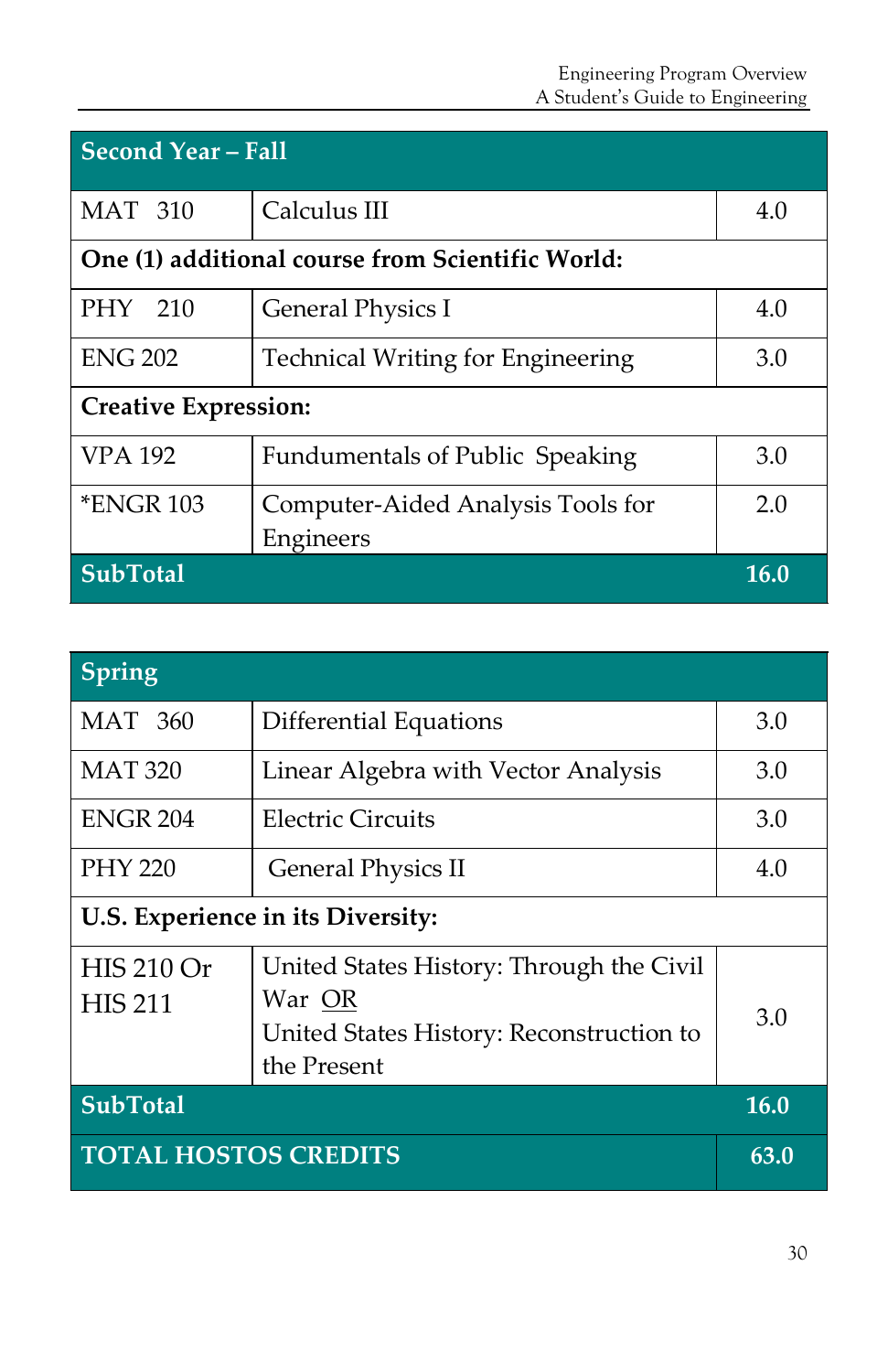| <b>Second Year – Fall</b>                        |                                          |      |  |
|--------------------------------------------------|------------------------------------------|------|--|
| <b>MAT 310</b>                                   | Calculus III                             | 4.0  |  |
| One (1) additional course from Scientific World: |                                          |      |  |
| PHY 210                                          | General Physics I                        | 4.0  |  |
| <b>ENG 202</b>                                   | <b>Technical Writing for Engineering</b> | 3.0  |  |
| <b>Creative Expression:</b>                      |                                          |      |  |
| <b>VPA 192</b>                                   | <b>Fundumentals of Public Speaking</b>   | 3.0  |  |
| <b>*ENGR 103</b>                                 | Computer-Aided Analysis Tools for        | 2.0  |  |
|                                                  | Engineers                                |      |  |
| <b>SubTotal</b>                                  |                                          | 16.0 |  |

| <b>Spring</b>                       |                                                                                                               |      |
|-------------------------------------|---------------------------------------------------------------------------------------------------------------|------|
| <b>MAT 360</b>                      | Differential Equations                                                                                        | 3.0  |
| <b>MAT 320</b>                      | Linear Algebra with Vector Analysis                                                                           | 3.0  |
| <b>ENGR 204</b>                     | Electric Circuits                                                                                             | 3.0  |
| <b>PHY 220</b>                      | <b>General Physics II</b>                                                                                     | 4.0  |
|                                     | U.S. Experience in its Diversity:                                                                             |      |
| <b>HIS 210 Or</b><br><b>HIS 211</b> | United States History: Through the Civil<br>War OR<br>United States History: Reconstruction to<br>the Present | 3.0  |
| <b>SubTotal</b>                     |                                                                                                               | 16.0 |
| <b>TOTAL HOSTOS CREDITS</b>         |                                                                                                               | 63.0 |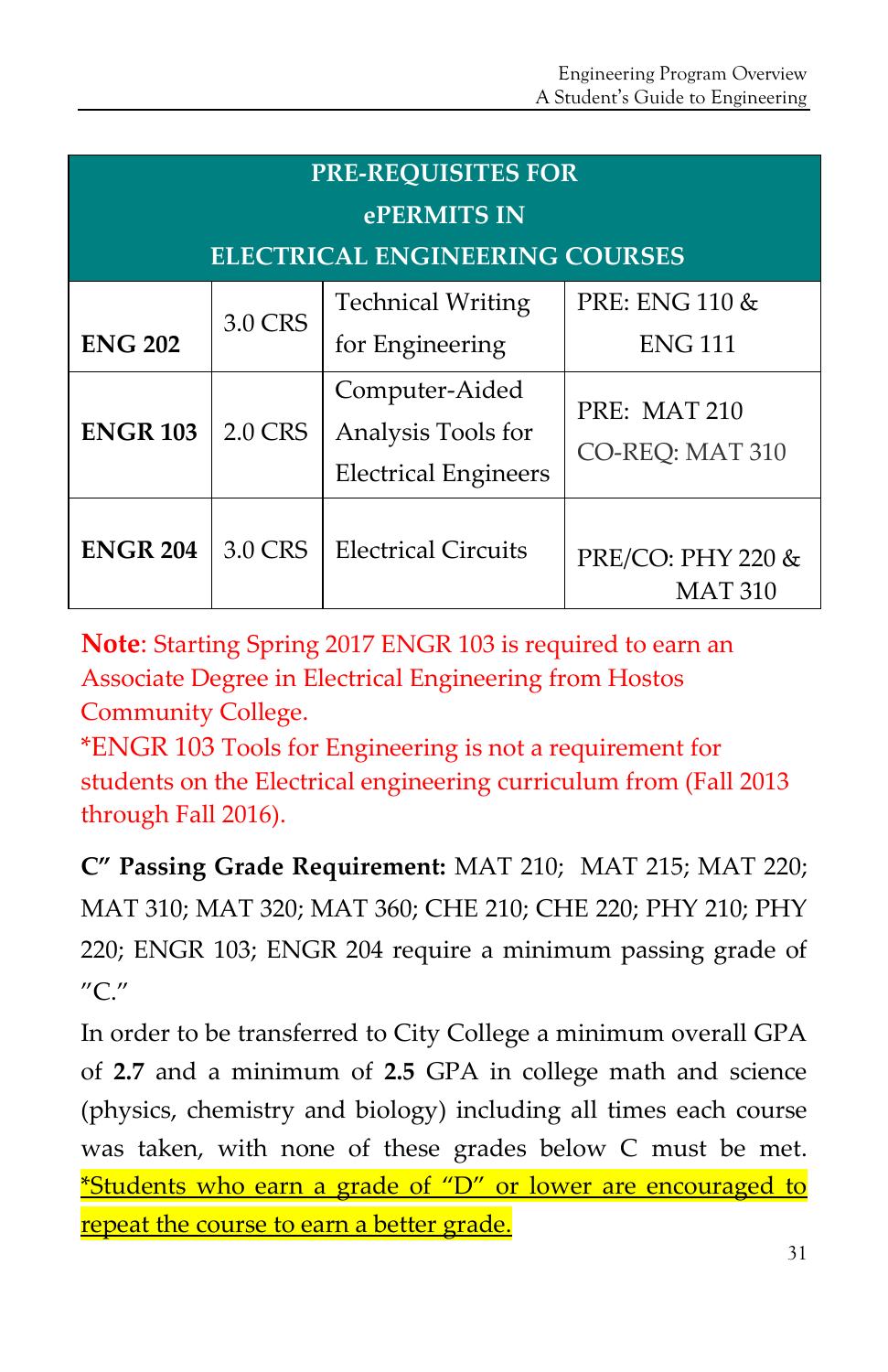| <b>PRE-REQUISITES FOR</b>             |                |                                                                     |                                     |  |
|---------------------------------------|----------------|---------------------------------------------------------------------|-------------------------------------|--|
| ePERMITS IN                           |                |                                                                     |                                     |  |
| <b>ELECTRICAL ENGINEERING COURSES</b> |                |                                                                     |                                     |  |
| <b>ENG 202</b>                        | 3.0 CRS        | <b>Technical Writing</b><br>for Engineering                         | PRE: ENG 110 &<br><b>ENG 111</b>    |  |
| <b>ENGR 103</b>                       | <b>2.0 CRS</b> | Computer-Aided<br>Analysis Tools for<br><b>Electrical Engineers</b> | PRE: MAT 210<br>CO-REO: MAT 310     |  |
| <b>ENGR 204</b>                       | 3.0 CRS        | <b>Electrical Circuits</b>                                          | PRE/CO: PHY 220 &<br><b>MAT 310</b> |  |

**Note**: Starting Spring 2017 ENGR 103 is required to earn an Associate Degree in Electrical Engineering from Hostos Community College.

\*ENGR 103 Tools for Engineering is not a requirement for students on the Electrical engineering curriculum from (Fall 2013 through Fall 2016).

**C" Passing Grade Requirement:** MAT 210; MAT 215; MAT 220; MAT 310; MAT 320; MAT 360; CHE 210; CHE 220; PHY 210; PHY 220; ENGR 103; ENGR 204 require a minimum passing grade of "C."

In order to be transferred to City College a minimum overall GPA of **2.7** and a minimum of **2.5** GPA in college math and science (physics, chemistry and biology) including all times each course was taken, with none of these grades below C must be met. \*Students who earn a grade of "D" or lower are encouraged to repeat the course to earn a better grade.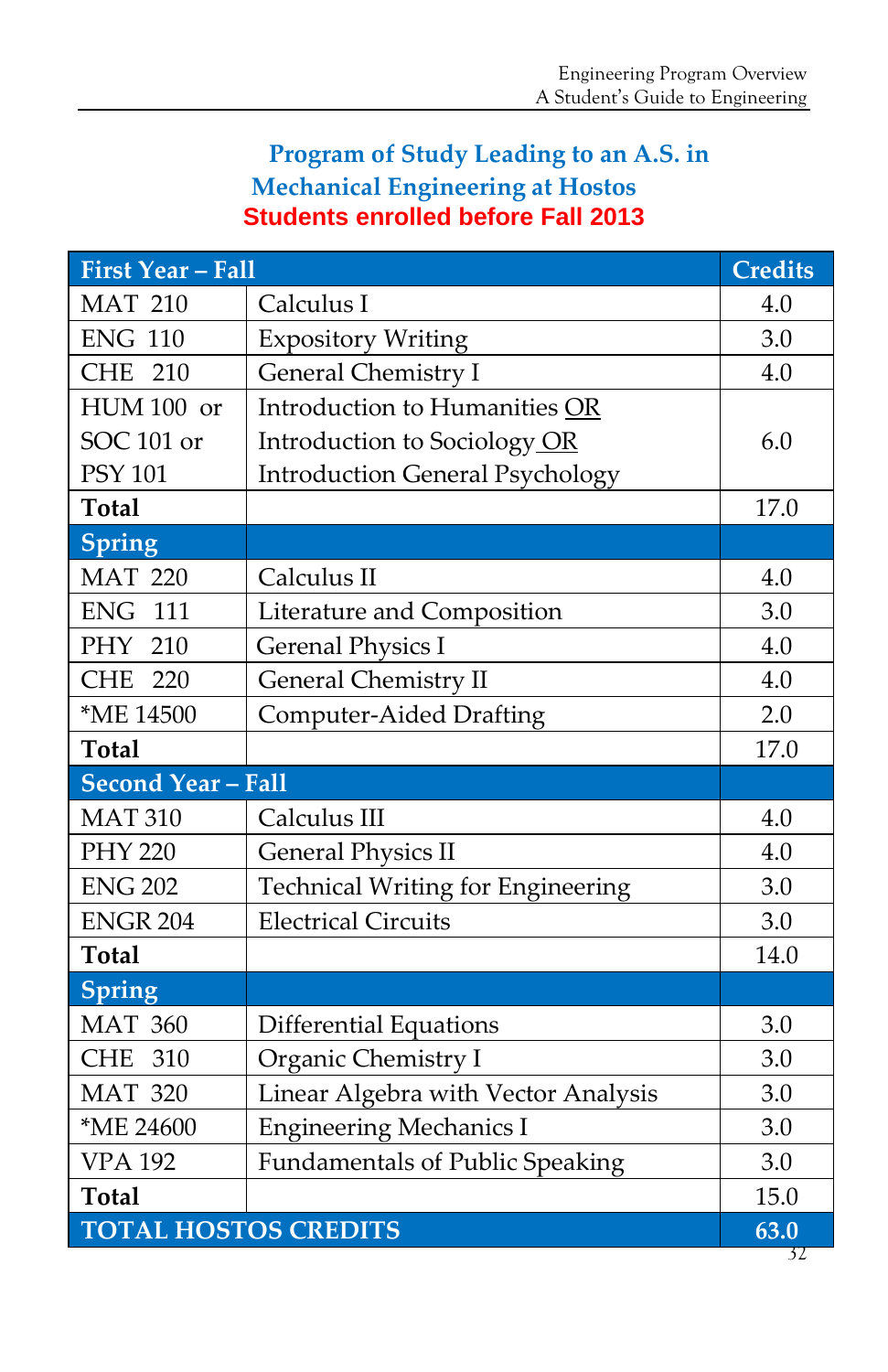# **Program of Study Leading to an A.S. in Mechanical Engineering at Hostos Students enrolled before Fall 2013**

| <b>First Year - Fall</b>    |                                          |      |
|-----------------------------|------------------------------------------|------|
| <b>MAT 210</b>              | Calculus I                               | 4.0  |
| <b>ENG 110</b>              | <b>Expository Writing</b>                | 3.0  |
| <b>CHE 210</b>              | <b>General Chemistry I</b>               | 4.0  |
| HUM 100 or                  | Introduction to Humanities OR            |      |
| SOC 101 or                  | Introduction to Sociology OR             | 6.0  |
| <b>PSY 101</b>              | <b>Introduction General Psychology</b>   |      |
| <b>Total</b>                |                                          | 17.0 |
| <b>Spring</b>               |                                          |      |
| <b>MAT 220</b>              | Calculus II                              | 4.0  |
| <b>ENG 111</b>              | Literature and Composition               | 3.0  |
| PHY 210                     | <b>Gerenal Physics I</b>                 | 4.0  |
| <b>CHE 220</b>              | <b>General Chemistry II</b>              | 4.0  |
| *ME 14500                   | <b>Computer-Aided Drafting</b>           | 2.0  |
| <b>Total</b>                |                                          | 17.0 |
| <b>Second Year - Fall</b>   |                                          |      |
| <b>MAT 310</b>              | Calculus III                             | 4.0  |
| <b>PHY 220</b>              | <b>General Physics II</b>                | 4.0  |
| <b>ENG 202</b>              | <b>Technical Writing for Engineering</b> | 3.0  |
| <b>ENGR 204</b>             | <b>Electrical Circuits</b>               | 3.0  |
| <b>Total</b>                |                                          | 14.0 |
| Spring                      |                                          |      |
| <b>MAT 360</b>              | <b>Differential Equations</b>            | 3.0  |
| CHE 310                     | Organic Chemistry I                      | 3.0  |
| <b>MAT 320</b>              | Linear Algebra with Vector Analysis      | 3.0  |
| *ME 24600                   | <b>Engineering Mechanics I</b>           | 3.0  |
| <b>VPA 192</b>              | <b>Fundamentals of Public Speaking</b>   | 3.0  |
| <b>Total</b>                |                                          | 15.0 |
| <b>TOTAL HOSTOS CREDITS</b> |                                          |      |

32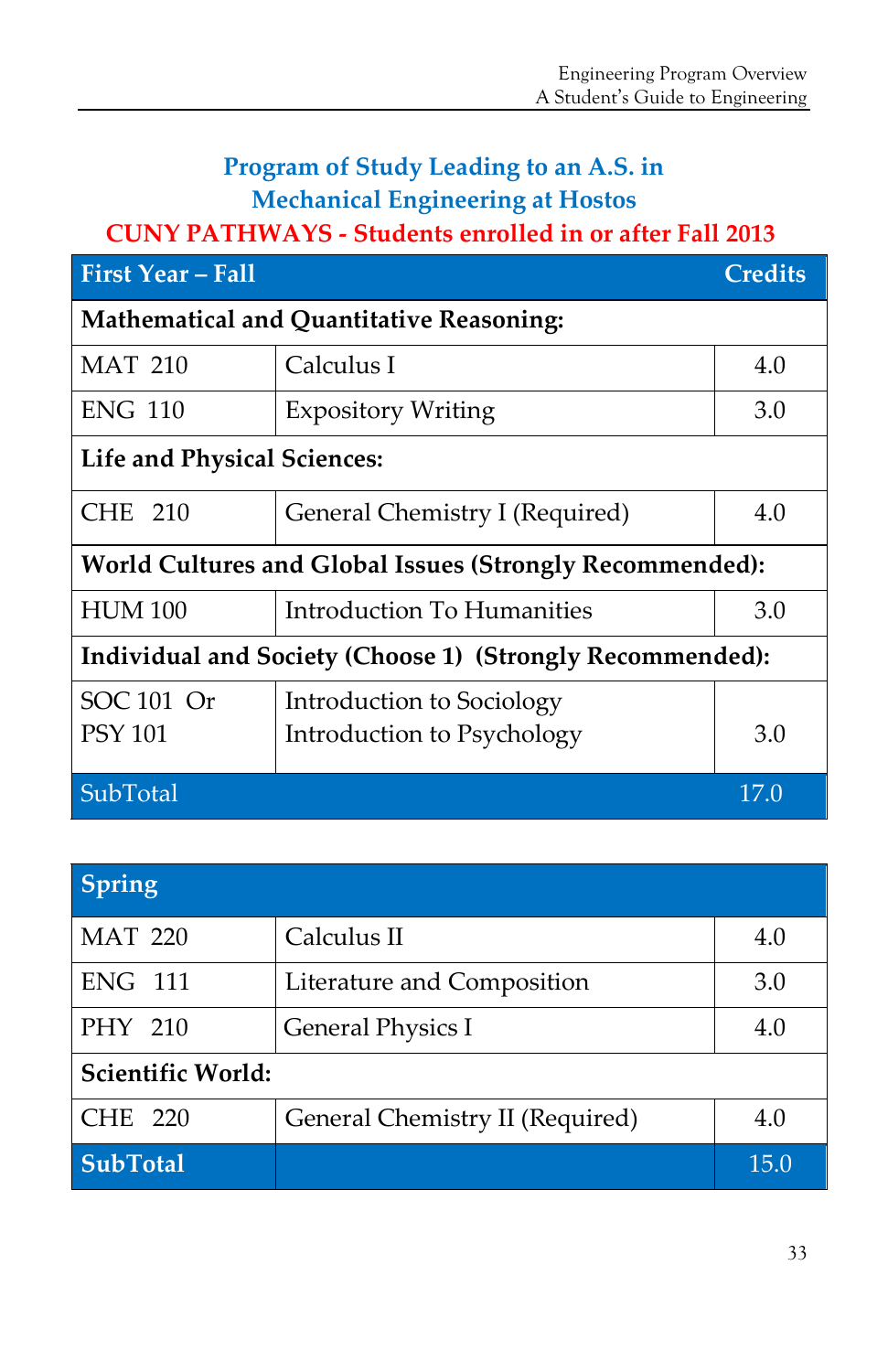# **Program of Study Leading to an A.S. in Mechanical Engineering at Hostos**

# **CUNY PATHWAYS - Students enrolled in or after Fall 2013**

| <b>First Year - Fall</b>                                  | <b>Credits</b>                                          |      |  |
|-----------------------------------------------------------|---------------------------------------------------------|------|--|
| <b>Mathematical and Quantitative Reasoning:</b>           |                                                         |      |  |
| <b>MAT 210</b>                                            | Calculus I                                              | 4.0  |  |
| <b>ENG 110</b>                                            | <b>Expository Writing</b>                               | 3.0  |  |
| <b>Life and Physical Sciences:</b>                        |                                                         |      |  |
| CHE 210                                                   | General Chemistry I (Required)                          | 4.0  |  |
| World Cultures and Global Issues (Strongly Recommended):  |                                                         |      |  |
| <b>HUM 100</b>                                            | Introduction To Humanities                              | 3.0  |  |
| Individual and Society (Choose 1) (Strongly Recommended): |                                                         |      |  |
| SOC 101 Or<br><b>PSY 101</b>                              | Introduction to Sociology<br>Introduction to Psychology | 3.0  |  |
| SubTotal                                                  |                                                         | 17.0 |  |

| Spring            |                                 |      |  |
|-------------------|---------------------------------|------|--|
| <b>MAT 220</b>    | Calculus II                     | 4.0  |  |
| <b>ENG 111</b>    | Literature and Composition      | 3.0  |  |
| PHY 210           | <b>General Physics I</b>        | 4.0  |  |
| Scientific World: |                                 |      |  |
| CHE 220           | General Chemistry II (Required) | 4.0  |  |
| <b>SubTotal</b>   |                                 | 15.0 |  |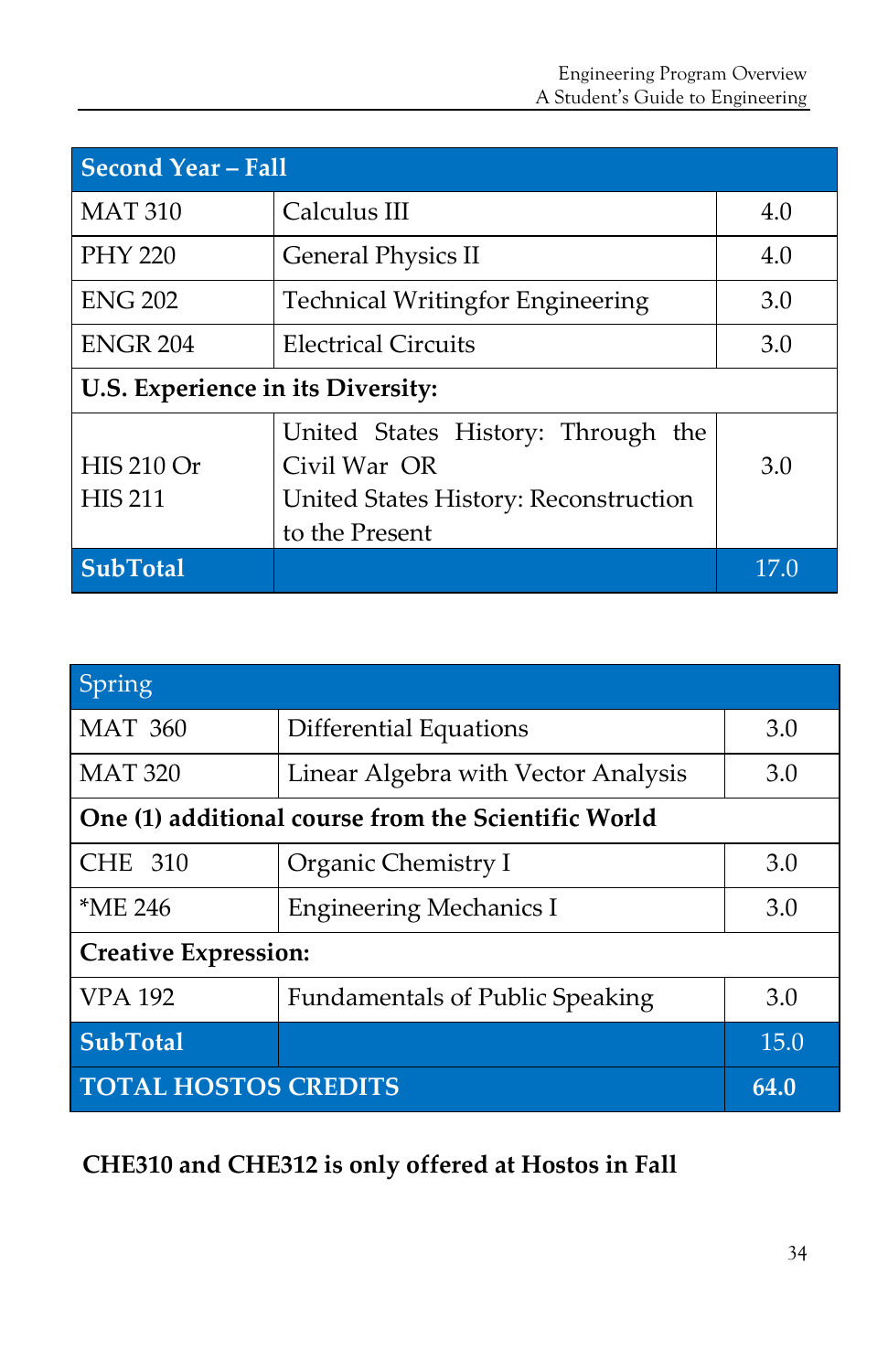| <b>Second Year - Fall</b>           |                                                                                                               |      |  |
|-------------------------------------|---------------------------------------------------------------------------------------------------------------|------|--|
| <b>MAT 310</b>                      | Calculus III                                                                                                  | 4.0  |  |
| <b>PHY 220</b>                      | <b>General Physics II</b><br>4.0                                                                              |      |  |
| <b>ENG 202</b>                      | <b>Technical Writingfor Engineering</b><br>3.0                                                                |      |  |
| <b>ENGR 204</b>                     | <b>Electrical Circuits</b>                                                                                    | 3.0  |  |
| U.S. Experience in its Diversity:   |                                                                                                               |      |  |
| <b>HIS 210 Or</b><br><b>HIS 211</b> | United States History: Through the<br>Civil War OR<br>United States History: Reconstruction<br>to the Present | 3.0  |  |
| <b>SubTotal</b>                     |                                                                                                               | 17.0 |  |

| Spring                                              |                                        |      |  |
|-----------------------------------------------------|----------------------------------------|------|--|
| <b>MAT 360</b>                                      | 3.0<br>Differential Equations          |      |  |
| <b>MAT 320</b>                                      | Linear Algebra with Vector Analysis    | 3.0  |  |
| One (1) additional course from the Scientific World |                                        |      |  |
| <b>CHE 310</b>                                      | Organic Chemistry I                    | 3.0  |  |
| $*ME 246$                                           | <b>Engineering Mechanics I</b>         | 3.0  |  |
| <b>Creative Expression:</b>                         |                                        |      |  |
| <b>VPA 192</b>                                      | <b>Fundamentals of Public Speaking</b> | 3.0  |  |
| <b>SubTotal</b>                                     |                                        | 15.0 |  |
| <b>TOTAL HOSTOS CREDITS</b>                         | 64.0                                   |      |  |

**CHE310 and CHE312 is only offered at Hostos in Fall**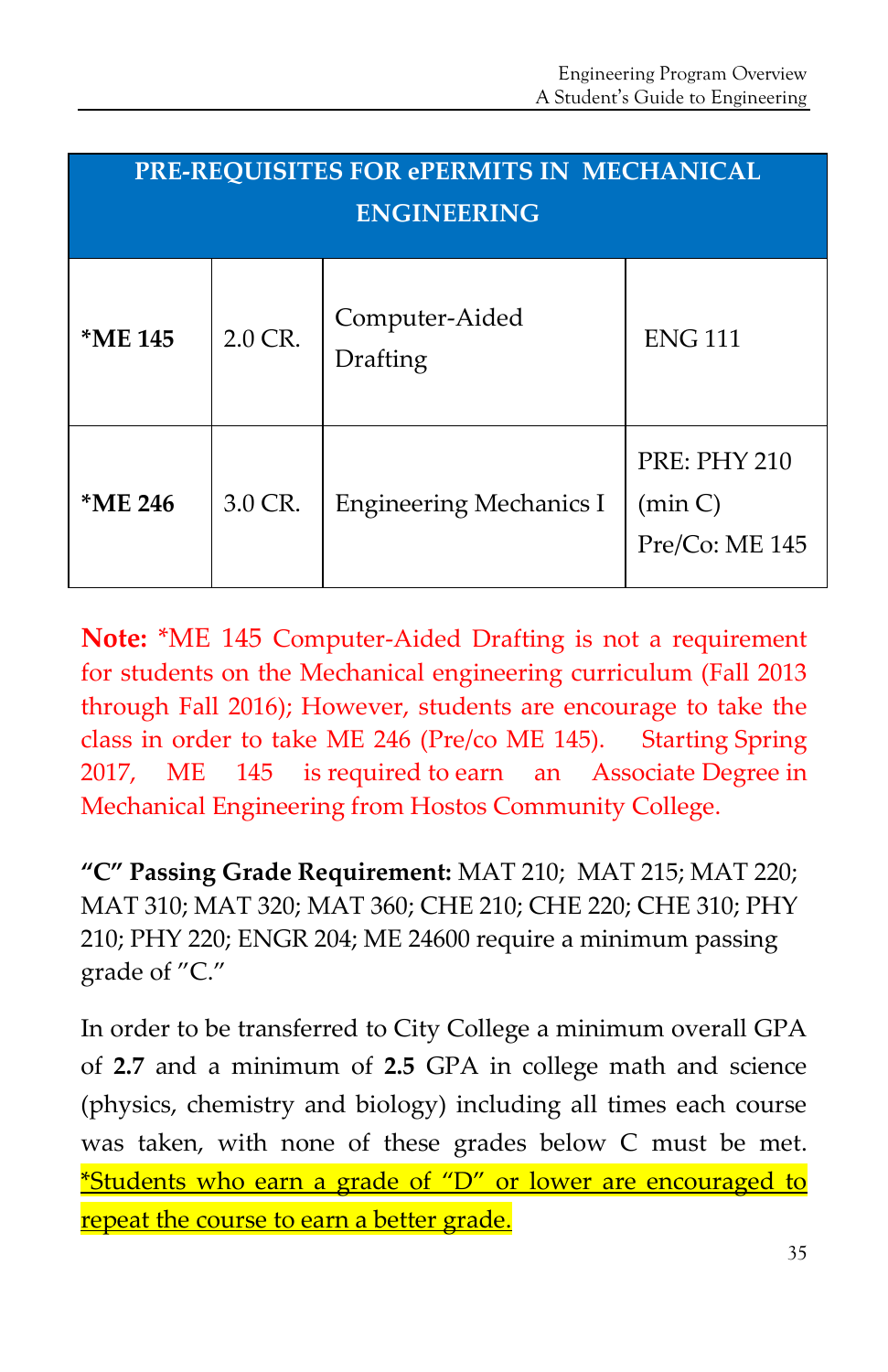| PRE-REQUISITES FOR ePERMITS IN MECHANICAL<br><b>ENGINEERING</b> |         |                                   |                                                  |
|-----------------------------------------------------------------|---------|-----------------------------------|--------------------------------------------------|
| *ME 145                                                         | 2.0 CR. | Computer-Aided<br><b>Drafting</b> | <b>ENG 111</b>                                   |
| *ME 246                                                         | 3.0 CR. | <b>Engineering Mechanics I</b>    | <b>PRE: PHY 210</b><br>(min C)<br>Pre/Co: ME 145 |

**Note:** \*ME 145 Computer-Aided Drafting is not a requirement for students on the Mechanical engineering curriculum (Fall 2013 through Fall 2016); However, students are encourage to take the class in order to take ME 246 (Pre/co ME 145). Starting Spring 2017, ME 145 is required to earn an Associate Degree in Mechanical Engineering from Hostos Community College.

**"C" Passing Grade Requirement:** MAT 210; MAT 215; MAT 220; MAT 310; MAT 320; MAT 360; CHE 210; CHE 220; CHE 310; PHY 210; PHY 220; ENGR 204; ME 24600 require a minimum passing grade of "C."

In order to be transferred to City College a minimum overall GPA of **2.7** and a minimum of **2.5** GPA in college math and science (physics, chemistry and biology) including all times each course was taken, with none of these grades below C must be met. \*Students who earn a grade of "D" or lower are encouraged to repeat the course to earn a better grade.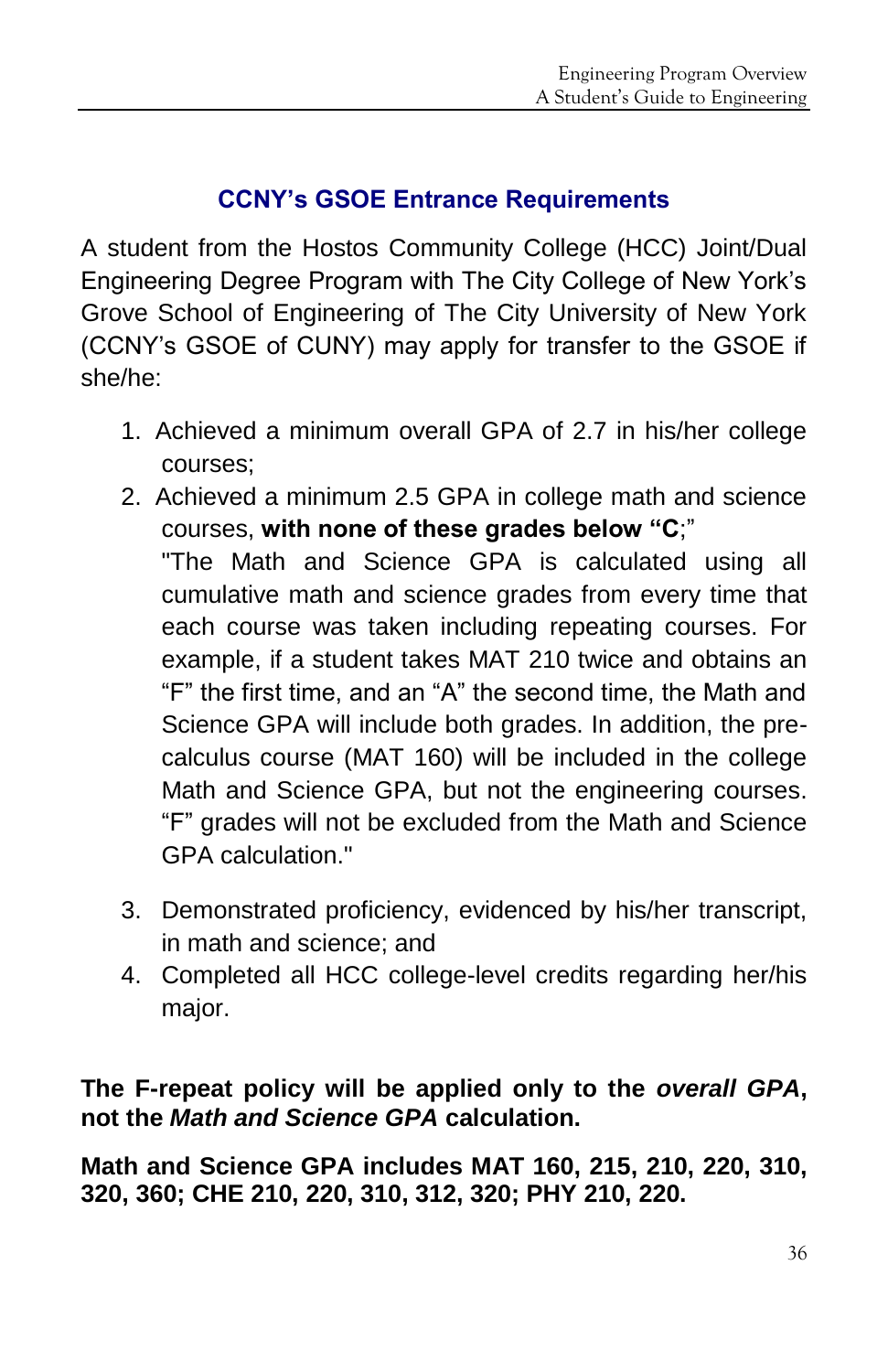# **CCNY's GSOE Entrance Requirements**

A student from the Hostos Community College (HCC) Joint/Dual Engineering Degree Program with The City College of New York's Grove School of Engineering of The City University of New York (CCNY's GSOE of CUNY) may apply for transfer to the GSOE if she/he:

- 1. Achieved a minimum overall GPA of 2.7 in his/her college courses;
- 2. Achieved a minimum 2.5 GPA in college math and science courses, **with none of these grades below "C**;"

"The Math and Science GPA is calculated using all cumulative math and science grades from every time that each course was taken including repeating courses. For example, if a student takes MAT 210 twice and obtains an "F" the first time, and an "A" the second time, the Math and Science GPA will include both grades. In addition, the precalculus course (MAT 160) will be included in the college Math and Science GPA, but not the engineering courses. "F" grades will not be excluded from the Math and Science GPA calculation."

- 3. Demonstrated proficiency, evidenced by his/her transcript, in math and science; and
- 4. Completed all HCC college-level credits regarding her/his major.

**The F-repeat policy will be applied only to the** *overall GPA***, not the** *Math and Science GPA* **calculation.**

**Math and Science GPA includes MAT 160, 215, 210, 220, 310, 320, 360; CHE 210, 220, 310, 312, 320; PHY 210, 220.**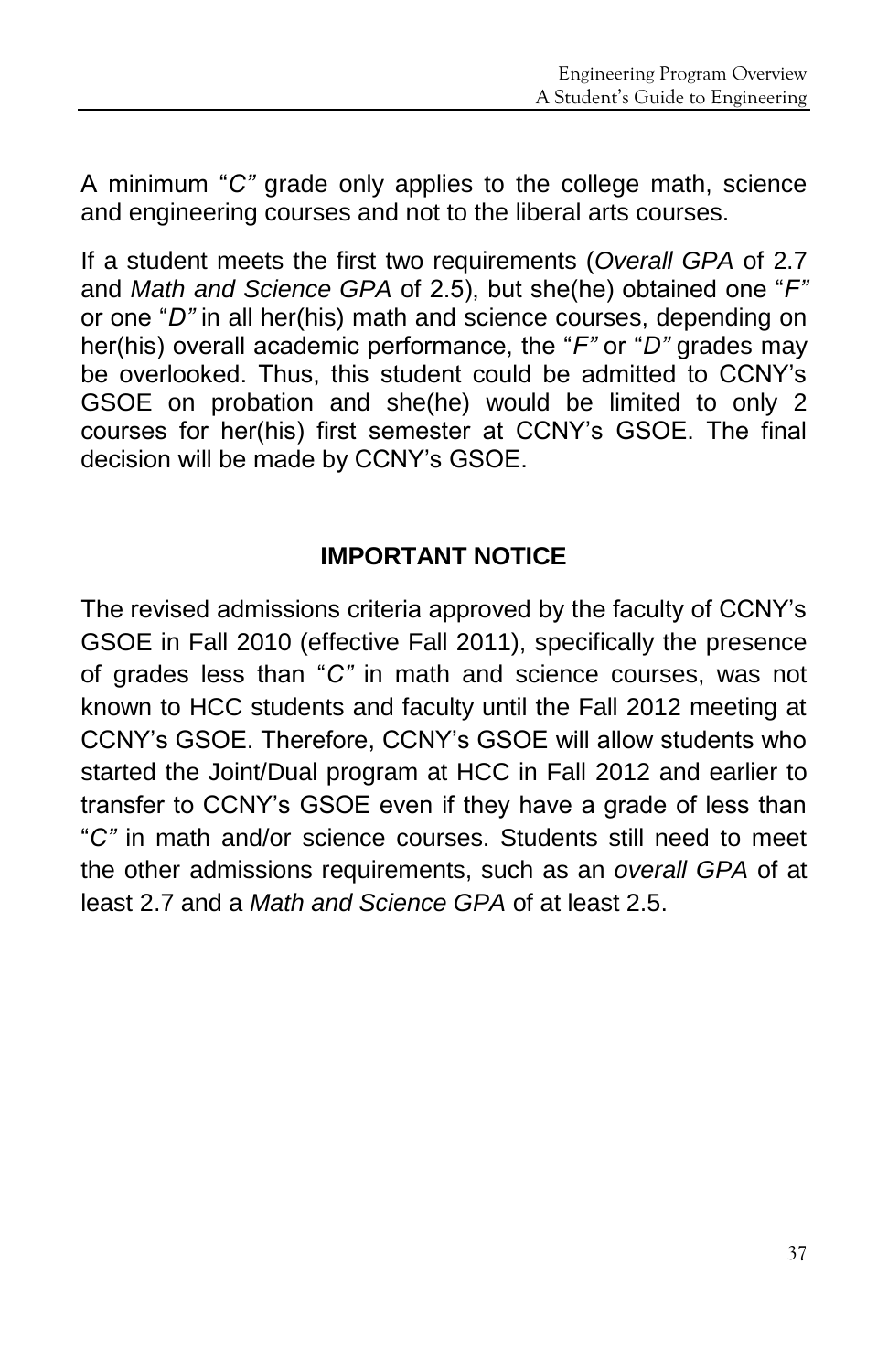A minimum "*C"* grade only applies to the college math, science and engineering courses and not to the liberal arts courses.

If a student meets the first two requirements (*Overall GPA* of 2.7 and *Math and Science GPA* of 2.5), but she(he) obtained one "*F"* or one "*D"* in all her(his) math and science courses, depending on her(his) overall academic performance, the "*F"* or "*D"* grades may be overlooked. Thus, this student could be admitted to CCNY's GSOE on probation and she(he) would be limited to only 2 courses for her(his) first semester at CCNY's GSOE. The final decision will be made by CCNY's GSOE.

# **IMPORTANT NOTICE**

The revised admissions criteria approved by the faculty of CCNY's GSOE in Fall 2010 (effective Fall 2011), specifically the presence of grades less than "*C"* in math and science courses, was not known to HCC students and faculty until the Fall 2012 meeting at CCNY's GSOE. Therefore, CCNY's GSOE will allow students who started the Joint/Dual program at HCC in Fall 2012 and earlier to transfer to CCNY's GSOE even if they have a grade of less than "*C"* in math and/or science courses. Students still need to meet the other admissions requirements, such as an *overall GPA* of at least 2.7 and a *Math and Science GPA* of at least 2.5.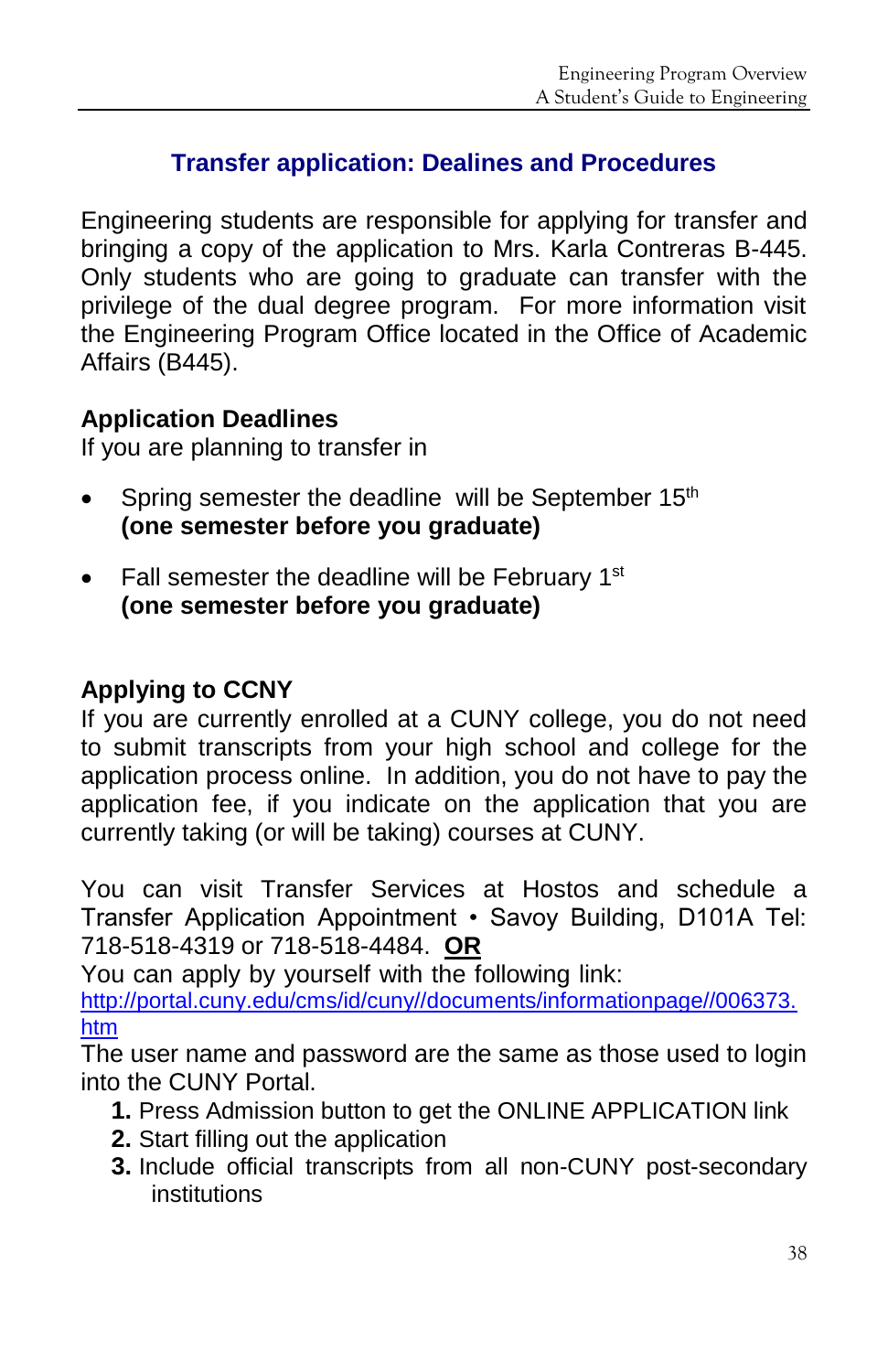# **Transfer application: Dealines and Procedures**

Engineering students are responsible for applying for transfer and bringing a copy of the application to Mrs. Karla Contreras B-445. Only students who are going to graduate can transfer with the privilege of the dual degree program. For more information visit the Engineering Program Office located in the Office of Academic Affairs (B445).

#### **Application Deadlines**

If you are planning to transfer in

- Spring semester the deadline will be September  $15<sup>th</sup>$ **(one semester before you graduate)**
- $\bullet$  Fall semester the deadline will be February 1st **(one semester before you graduate)**

# **Applying to CCNY**

If you are currently enrolled at a CUNY college, you do not need to submit transcripts from your high school and college for the application process online. In addition, you do not have to pay the application fee, if you indicate on the application that you are currently taking (or will be taking) courses at CUNY.

You can visit Transfer Services at Hostos and schedule a Transfer Application Appointment • Savoy Building, D101A Tel: 718-518-4319 or 718-518-4484. **OR**

You can apply by yourself with the following link:

[http://portal.cuny.edu/cms/id/cuny//documents/informationpage//006373.](http://portal.cuny.edu/cms/id/cuny/documents/informationpage/006373.htm) [htm](http://portal.cuny.edu/cms/id/cuny/documents/informationpage/006373.htm)

The user name and password are the same as those used to login into the CUNY Portal.

- **1.** Press Admission button to get the ONLINE APPLICATION link
- **2.** Start filling out the application
- **3.** Include official transcripts from all non-CUNY post-secondary institutions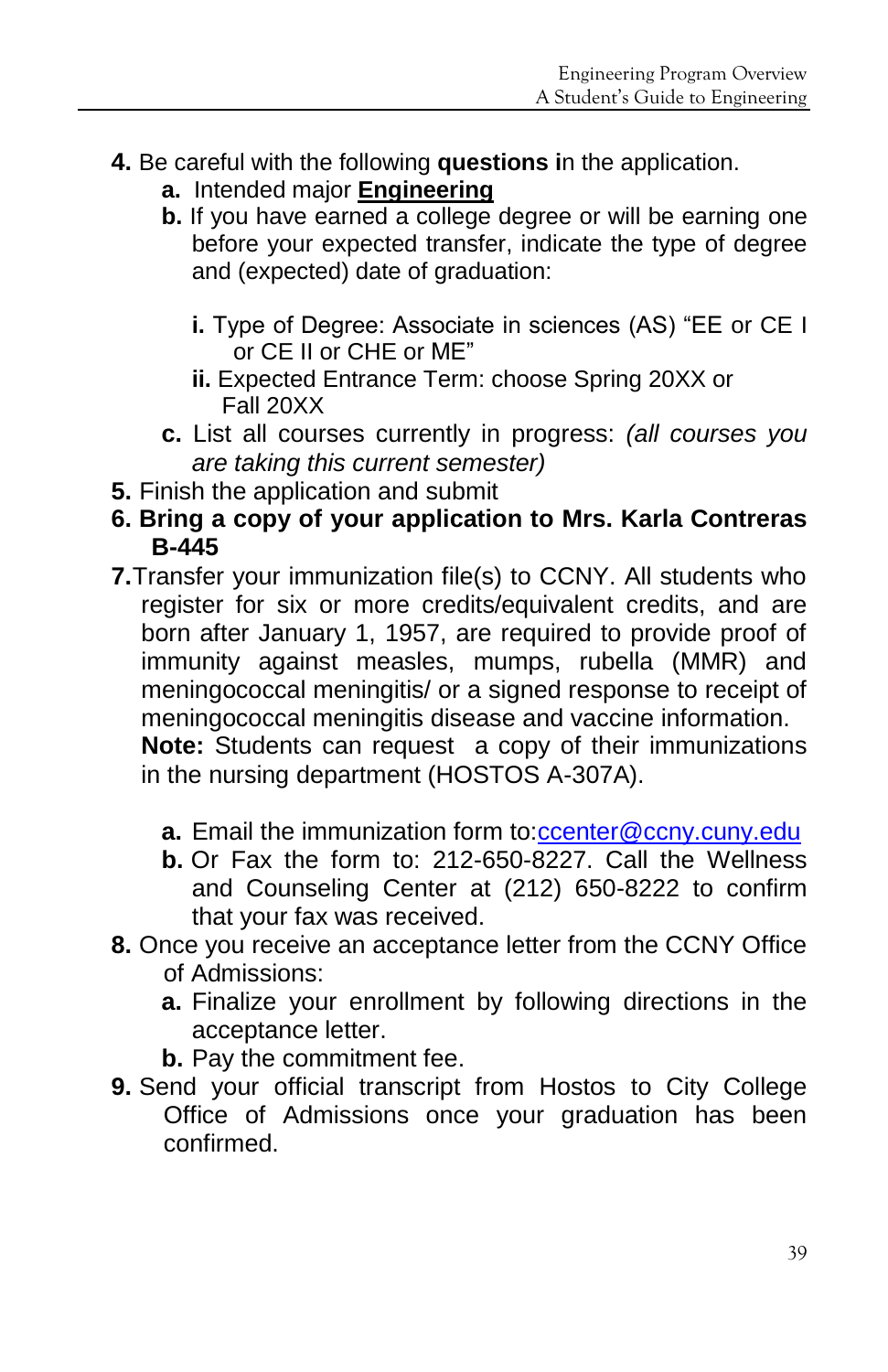- **4.** Be careful with the following **questions i**n the application.
	- **a.** Intended major **Engineering**
	- **b.** If you have earned a college degree or will be earning one before your expected transfer, indicate the type of degree and (expected) date of graduation:
		- **i.** Type of Degree: Associate in sciences (AS) "EE or CE I or CE II or CHE or ME"
		- **ii.** Expected Entrance Term: choose Spring 20XX or Fall 20XX
	- **c.** List all courses currently in progress: *(all courses you are taking this current semester)*
- **5.** Finish the application and submit
- **6. Bring a copy of your application to Mrs. Karla Contreras B-445**
- **7.**Transfer your immunization file(s) to CCNY. All students who register for six or more credits/equivalent credits, and are born after January 1, 1957, are required to provide proof of immunity against measles, mumps, rubella (MMR) and meningococcal meningitis/ or a signed response to receipt of meningococcal meningitis disease and vaccine information.

**Note:** Students can request a copy of their immunizations in the nursing department (HOSTOS A-307A).

- **a.** Email the immunization form to[:ccenter@ccny.cuny.edu](mailto:ccenter@ccny.cuny.edu)
- **b.** Or Fax the form to: 212-650-8227. Call the Wellness and Counseling Center at (212) 650-8222 to confirm that your fax was received.
- **8.** Once you receive an acceptance letter from the CCNY Office of Admissions:
	- **a.** Finalize your enrollment by following directions in the acceptance letter.
	- **b.** Pay the commitment fee.
- **9.** Send your official transcript from Hostos to City College Office of Admissions once your graduation has been confirmed.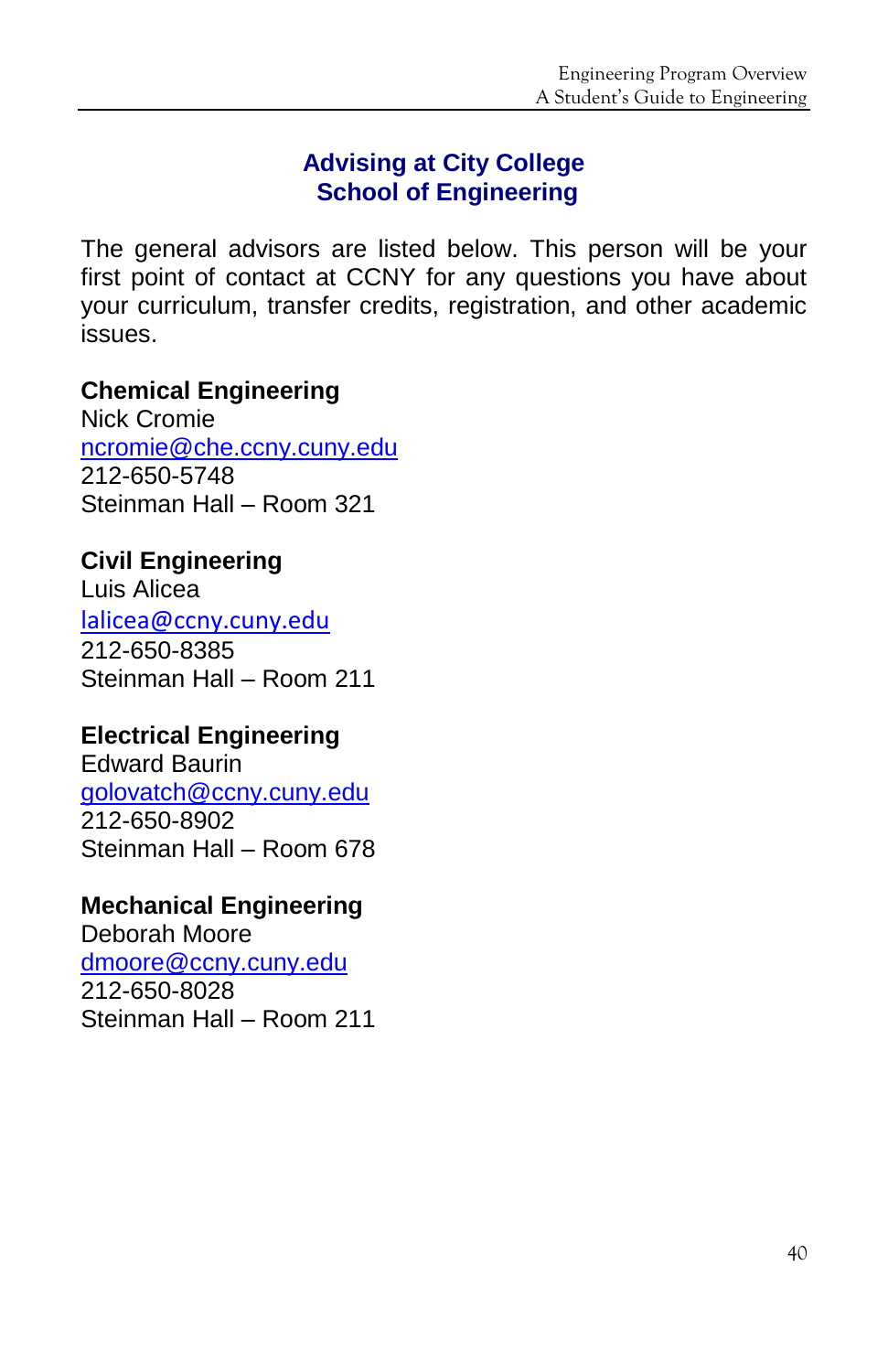#### **Advising at City College School of Engineering**

The general advisors are listed below. This person will be your first point of contact at CCNY for any questions you have about your curriculum, transfer credits, registration, and other academic issues.

#### **Chemical Engineering**

Nick Cromie [ncromie@che.ccny.cuny.edu](mailto:ncromie@che.ccny.cuny.edu) 212-650-5748 Steinman Hall – Room 321

**Civil Engineering**  Luis Alicea [lalicea@ccny.cuny.edu](mailto:lalicea@ccny.cuny.edu) 212-650-8385 Steinman Hall – Room 211

# **Electrical Engineering**

Edward Baurin [golovatch@ccny.cuny.edu](mailto:golovatch@ccny.cuny.edu) 212-650-8902 Steinman Hall – Room 678

# **Mechanical Engineering**

Deborah Moore [dmoore@ccny.cuny.edu](mailto:dmoore@ccny.cuny.edu) 212-650-8028 Steinman Hall – Room 211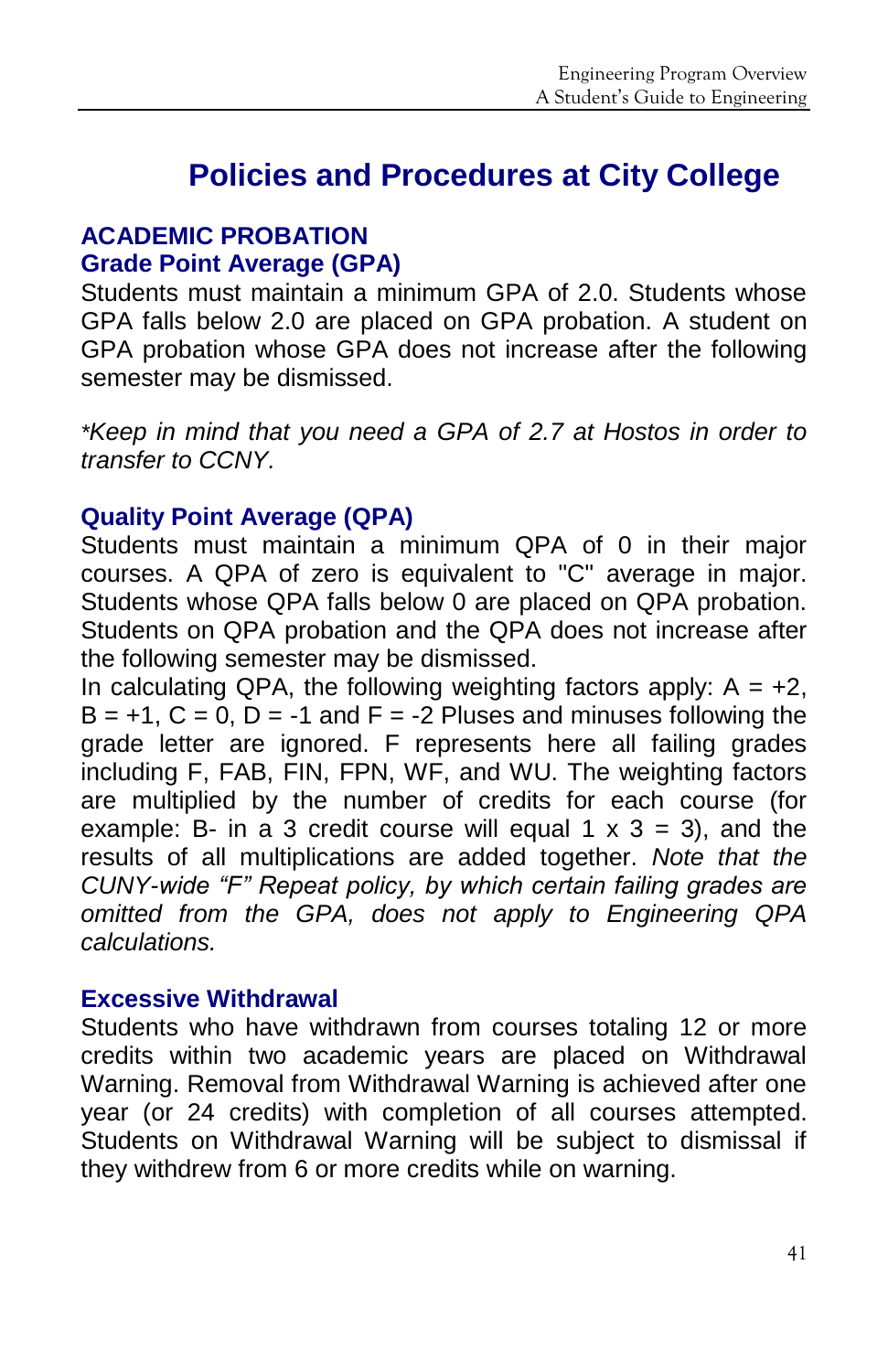# **Policies and Procedures at City College**

#### **ACADEMIC PROBATION Grade Point Average (GPA)**

Students must maintain a minimum GPA of 2.0. Students whose GPA falls below 2.0 are placed on GPA probation. A student on GPA probation whose GPA does not increase after the following semester may be dismissed.

*\*Keep in mind that you need a GPA of 2.7 at Hostos in order to transfer to CCNY.*

#### **Quality Point Average (QPA)**

Students must maintain a minimum QPA of 0 in their major courses. A QPA of zero is equivalent to "C" average in major. Students whose QPA falls below 0 are placed on QPA probation. Students on QPA probation and the QPA does not increase after the following semester may be dismissed.

In calculating QPA, the following weighting factors apply:  $A = +2$ ,  $B = +1$ ,  $C = 0$ ,  $D = -1$  and  $F = -2$  Pluses and minuses following the grade letter are ignored. F represents here all failing grades including F, FAB, FIN, FPN, WF, and WU. The weighting factors are multiplied by the number of credits for each course (for example: B- in a 3 credit course will equal 1  $\times$  3 = 3), and the results of all multiplications are added together. *Note that the CUNY-wide "F" Repeat policy, by which certain failing grades are omitted from the GPA, does not apply to Engineering QPA calculations.* 

#### **Excessive Withdrawal**

Students who have withdrawn from courses totaling 12 or more credits within two academic years are placed on Withdrawal Warning. Removal from Withdrawal Warning is achieved after one year (or 24 credits) with completion of all courses attempted. Students on Withdrawal Warning will be subject to dismissal if they withdrew from 6 or more credits while on warning.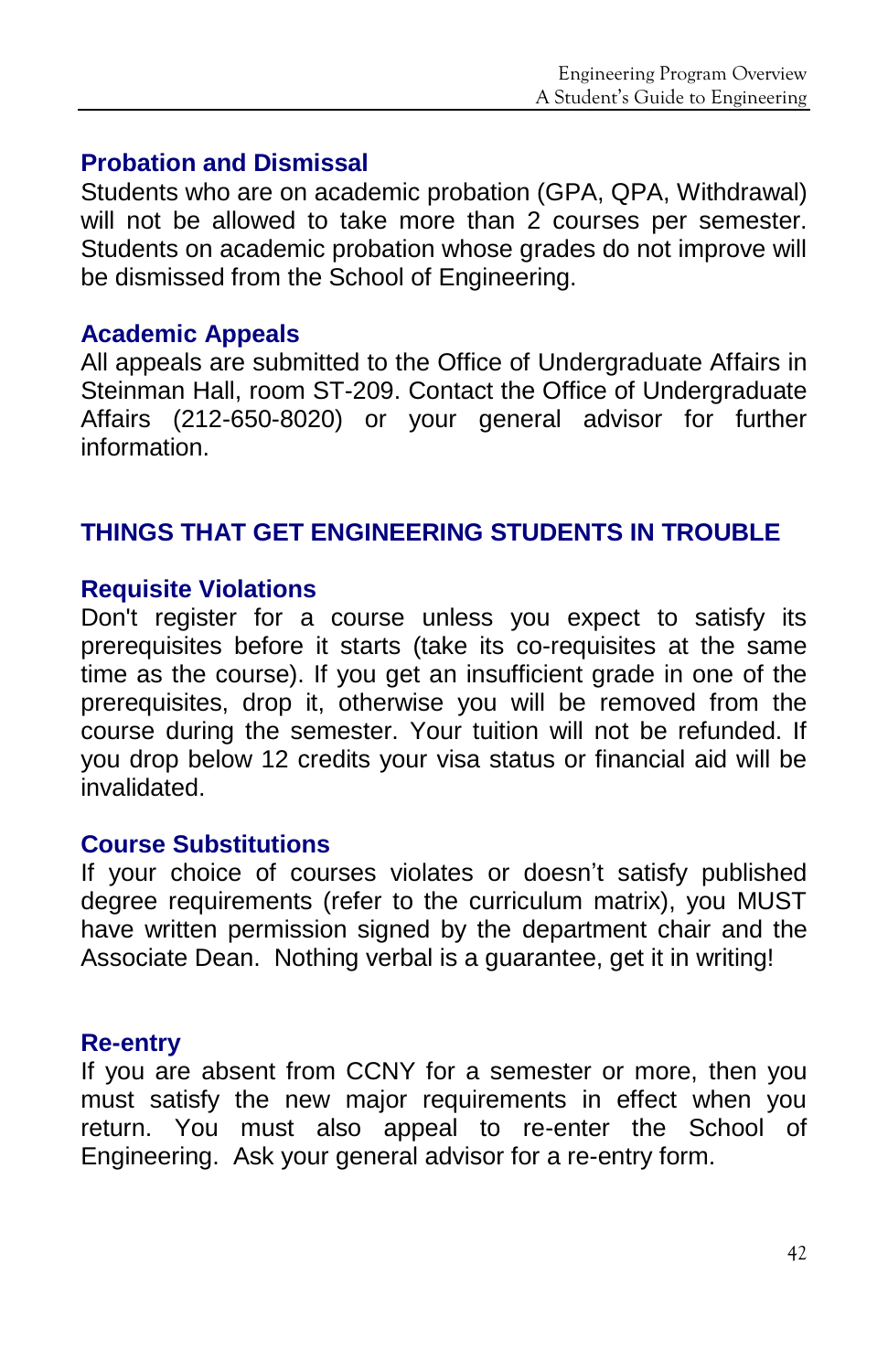#### **Probation and Dismissal**

Students who are on academic probation (GPA, QPA, Withdrawal) will not be allowed to take more than 2 courses per semester. Students on academic probation whose grades do not improve will be dismissed from the School of Engineering.

#### **Academic Appeals**

All appeals are submitted to the Office of Undergraduate Affairs in Steinman Hall, room ST-209. Contact the Office of Undergraduate Affairs (212-650-8020) or your general advisor for further information.

#### **THINGS THAT GET ENGINEERING STUDENTS IN TROUBLE**

#### **Requisite Violations**

Don't register for a course unless you expect to satisfy its prerequisites before it starts (take its co-requisites at the same time as the course). If you get an insufficient grade in one of the prerequisites, drop it, otherwise you will be removed from the course during the semester. Your tuition will not be refunded. If you drop below 12 credits your visa status or financial aid will be invalidated.

#### **Course Substitutions**

If your choice of courses violates or doesn't satisfy published degree requirements (refer to the curriculum matrix), you MUST have written permission signed by the department chair and the Associate Dean. Nothing verbal is a guarantee, get it in writing!

#### **Re-entry**

If you are absent from CCNY for a semester or more, then you must satisfy the new major requirements in effect when you return. You must also appeal to re-enter the School of Engineering. Ask your general advisor for a re-entry form.